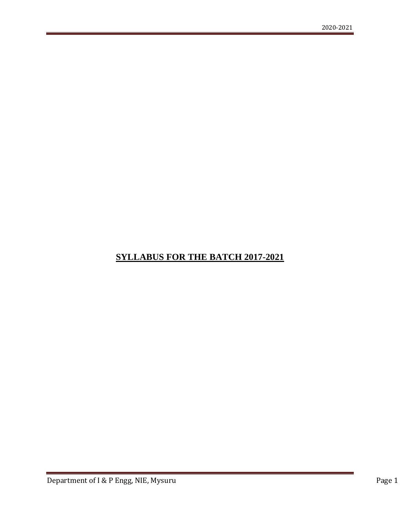# **SYLLABUS FOR THE BATCH 2017-2021**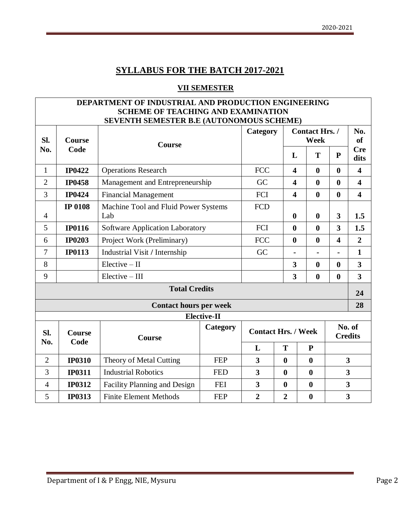# **SYLLABUS FOR THE BATCH 2017-2021**

# **VII SEMESTER**

| <b>DEPARTMENT OF INDUSTRIAL AND PRODUCTION ENGINEERING</b>                            |                       |                                             |             |                            |                         |                               |                          |                         |
|---------------------------------------------------------------------------------------|-----------------------|---------------------------------------------|-------------|----------------------------|-------------------------|-------------------------------|--------------------------|-------------------------|
| <b>SCHEME OF TEACHING AND EXAMINATION</b><br>SEVENTH SEMESTER B.E (AUTONOMOUS SCHEME) |                       |                                             |             |                            |                         |                               |                          |                         |
| Sl.<br>Course<br>Course                                                               |                       |                                             |             | Category                   |                         | <b>Contact Hrs. /</b><br>Week |                          |                         |
| No.                                                                                   | Code                  |                                             |             |                            | L                       | T                             | ${\bf P}$                | <b>Cre</b><br>dits      |
| $\mathbf{1}$                                                                          | <b>IP0422</b>         | <b>Operations Research</b>                  |             | <b>FCC</b>                 | $\overline{\mathbf{4}}$ | $\mathbf{0}$                  | $\mathbf{0}$             | $\overline{\mathbf{4}}$ |
| $\overline{2}$                                                                        | <b>IP0458</b>         | Management and Entrepreneurship             |             | GC                         | $\overline{\mathbf{4}}$ | $\mathbf{0}$                  | $\mathbf{0}$             | $\overline{\mathbf{4}}$ |
| 3                                                                                     | <b>IP0424</b>         | <b>Financial Management</b>                 |             | FCI                        | $\overline{\mathbf{4}}$ | $\boldsymbol{0}$              | $\boldsymbol{0}$         | $\overline{\mathbf{4}}$ |
| $\overline{4}$                                                                        | <b>IP 0108</b>        | Machine Tool and Fluid Power Systems<br>Lab |             | <b>FCD</b>                 | $\boldsymbol{0}$        | $\boldsymbol{0}$              | $\overline{\mathbf{3}}$  | 1.5                     |
| 5                                                                                     | <b>IP0116</b>         | <b>Software Application Laboratory</b>      |             | FCI                        | $\bf{0}$                | $\boldsymbol{0}$              | $\overline{\mathbf{3}}$  | 1.5                     |
| 6                                                                                     | <b>IP0203</b>         | Project Work (Preliminary)                  |             | <b>FCC</b>                 | $\boldsymbol{0}$        | $\boldsymbol{0}$              | $\overline{\mathbf{4}}$  | $\overline{2}$          |
| $\overline{7}$                                                                        | <b>IP0113</b>         | Industrial Visit / Internship               |             | GC                         |                         |                               |                          | $\mathbf{1}$            |
| 8                                                                                     |                       | $Electric - II$                             |             |                            | 3                       | $\boldsymbol{0}$              | $\boldsymbol{0}$         | $\overline{\mathbf{3}}$ |
| 9                                                                                     |                       | $Electric - III$                            |             |                            | $\overline{\mathbf{3}}$ | $\bf{0}$                      | $\boldsymbol{0}$         | $\overline{\mathbf{3}}$ |
| <b>Total Credits</b>                                                                  |                       |                                             |             |                            | 24                      |                               |                          |                         |
|                                                                                       |                       | <b>Contact hours per week</b>               |             |                            |                         |                               |                          | 28                      |
|                                                                                       |                       |                                             | Elective-II |                            |                         |                               |                          |                         |
| Sl.<br>No.                                                                            | <b>Course</b><br>Code | Category<br>Course                          |             | <b>Contact Hrs. / Week</b> |                         |                               | No. of<br><b>Credits</b> |                         |
|                                                                                       |                       |                                             |             | L                          | T                       | ${\bf P}$                     |                          |                         |
| $\overline{2}$                                                                        | <b>IP0310</b>         | Theory of Metal Cutting<br><b>FEP</b>       |             | $\overline{\mathbf{3}}$    | $\bf{0}$                | $\boldsymbol{0}$              |                          | $\mathbf{3}$            |
| 3                                                                                     | <b>IP0311</b>         | <b>Industrial Robotics</b>                  | <b>FED</b>  | 3                          | $\bf{0}$                | $\boldsymbol{0}$              |                          | $\mathbf{3}$            |
| 4                                                                                     | <b>IP0312</b>         | <b>Facility Planning and Design</b>         | <b>FEI</b>  | 3                          | $\boldsymbol{0}$        | $\boldsymbol{0}$              |                          | $\mathbf{3}$            |
| 5                                                                                     | <b>IP0313</b>         | <b>Finite Element Methods</b><br><b>FEP</b> |             | $\overline{2}$             | $\overline{2}$          | $\boldsymbol{0}$              |                          | $\overline{\mathbf{3}}$ |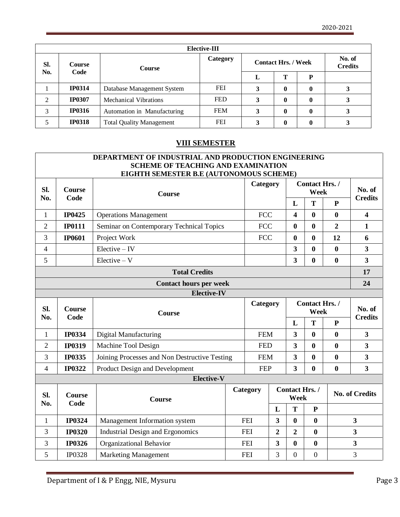|                      | <b>Elective-III</b> |                                 |            |                            |   |                          |  |
|----------------------|---------------------|---------------------------------|------------|----------------------------|---|--------------------------|--|
| SI.<br><b>Course</b> |                     | <b>Course</b>                   | Category   | <b>Contact Hrs. / Week</b> |   | No. of<br><b>Credits</b> |  |
| No.                  | Code                |                                 |            | L                          | Т | P                        |  |
|                      | <b>IP0314</b>       | Database Management System      | <b>FEI</b> | 3                          | 0 |                          |  |
| 2                    | <b>IP0307</b>       | <b>Mechanical Vibrations</b>    | <b>FED</b> |                            |   |                          |  |
| 3                    | <b>IP0316</b>       | Automation in Manufacturing     | <b>FEM</b> |                            |   |                          |  |
|                      | <b>IP0318</b>       | <b>Total Quality Management</b> | <b>FEI</b> |                            |   |                          |  |

# **VIII SEMESTER**

| DEPARTMENT OF INDUSTRIAL AND PRODUCTION ENGINEERING<br><b>SCHEME OF TEACHING AND EXAMINATION</b><br>EIGHTH SEMESTER B.E (AUTONOMOUS SCHEME) |                       |                                               |                                                |            |                         |                         |                                      |                  |                          |  |
|---------------------------------------------------------------------------------------------------------------------------------------------|-----------------------|-----------------------------------------------|------------------------------------------------|------------|-------------------------|-------------------------|--------------------------------------|------------------|--------------------------|--|
| Sl.<br>No.                                                                                                                                  | <b>Course</b><br>Code | <b>Course</b>                                 |                                                | Category   |                         |                         | <b>Contact Hrs. /</b><br><b>Week</b> |                  | No. of<br><b>Credits</b> |  |
|                                                                                                                                             |                       |                                               |                                                |            |                         | L                       | T                                    | ${\bf P}$        |                          |  |
| $\mathbf{1}$                                                                                                                                | <b>IP0425</b>         | <b>Operations Management</b>                  |                                                | <b>FCC</b> |                         | 4                       | $\bf{0}$                             | $\bf{0}$         | $\overline{\mathbf{4}}$  |  |
| $\overline{2}$                                                                                                                              | <b>IP0111</b>         | Seminar on Contemporary Technical Topics      |                                                | <b>FCC</b> |                         | $\bf{0}$                | $\bf{0}$                             | $\overline{2}$   | $\mathbf{1}$             |  |
| $\overline{3}$                                                                                                                              | <b>IP0601</b>         | Project Work                                  |                                                | <b>FCC</b> |                         | $\bf{0}$                | $\bf{0}$                             | 12               | 6                        |  |
| $\overline{4}$                                                                                                                              |                       | $Electric - IV$                               |                                                |            |                         | 3                       | $\bf{0}$                             | $\boldsymbol{0}$ | 3                        |  |
| 5                                                                                                                                           |                       | $Electric-V$                                  |                                                |            |                         | 3                       | $\bf{0}$                             | $\bf{0}$         | $\overline{\mathbf{3}}$  |  |
|                                                                                                                                             |                       | <b>Total Credits</b>                          |                                                |            |                         |                         |                                      |                  | 17                       |  |
|                                                                                                                                             |                       | <b>Contact hours per week</b>                 |                                                |            |                         |                         |                                      |                  | 24                       |  |
|                                                                                                                                             |                       | <b>Elective-IV</b>                            |                                                |            |                         |                         |                                      |                  |                          |  |
| SI.<br>No.                                                                                                                                  | <b>Course</b><br>Code | <b>Course</b>                                 |                                                | Category   |                         |                         | <b>Contact Hrs. /</b><br>Week        |                  | No. of<br><b>Credits</b> |  |
|                                                                                                                                             |                       |                                               |                                                |            |                         | L                       | T                                    | $\mathbf{P}$     |                          |  |
| $\mathbf{1}$                                                                                                                                | <b>IP0334</b>         | Digital Manufacturing                         |                                                | <b>FEM</b> |                         | $\overline{\mathbf{3}}$ | $\boldsymbol{0}$                     | $\bf{0}$         | $\mathbf{3}$             |  |
| $\overline{2}$                                                                                                                              | <b>IP0319</b>         | Machine Tool Design                           |                                                | <b>FED</b> |                         | $\overline{\mathbf{3}}$ | $\boldsymbol{0}$                     | $\mathbf{0}$     | 3                        |  |
| 3                                                                                                                                           | <b>IP0335</b>         | Joining Processes and Non Destructive Testing |                                                | <b>FEM</b> |                         | $\mathbf{3}$            | $\bf{0}$                             | $\boldsymbol{0}$ | $\mathbf{3}$             |  |
| $\overline{4}$                                                                                                                              | <b>IP0322</b>         | Product Design and Development                |                                                | <b>FEP</b> |                         | 3                       | $\bf{0}$                             | $\bf{0}$         | $\overline{\mathbf{3}}$  |  |
|                                                                                                                                             |                       | Elective-V                                    |                                                |            |                         |                         |                                      |                  |                          |  |
| Sl.<br>No.                                                                                                                                  | <b>Course</b><br>Code | <b>Course</b>                                 |                                                | Category   |                         | Contact Hrs./<br>Week   |                                      |                  | <b>No. of Credits</b>    |  |
|                                                                                                                                             |                       |                                               |                                                |            | L                       | T                       | ${\bf P}$                            |                  |                          |  |
| $\mathbf{1}$                                                                                                                                | <b>IP0324</b>         | Management Information system                 |                                                | <b>FEI</b> | $\overline{\mathbf{3}}$ | $\bf{0}$                | $\bf{0}$                             |                  | $\overline{\mathbf{3}}$  |  |
| 3                                                                                                                                           | <b>IP0320</b>         | <b>Industrial Design and Ergonomics</b>       | <b>FEI</b><br>$\overline{2}$                   |            |                         | $\overline{2}$          | $\bf{0}$                             |                  | $\overline{\mathbf{3}}$  |  |
| 3                                                                                                                                           | <b>IP0326</b>         | Organizational Behavior                       | <b>FEI</b><br>$\mathbf{3}$<br>$\boldsymbol{0}$ |            | $\boldsymbol{0}$        | $\overline{\mathbf{3}}$ |                                      |                  |                          |  |
| 5                                                                                                                                           |                       |                                               | <b>FEI</b>                                     |            | 3                       | $\overline{0}$          | $\overline{0}$                       |                  | 3                        |  |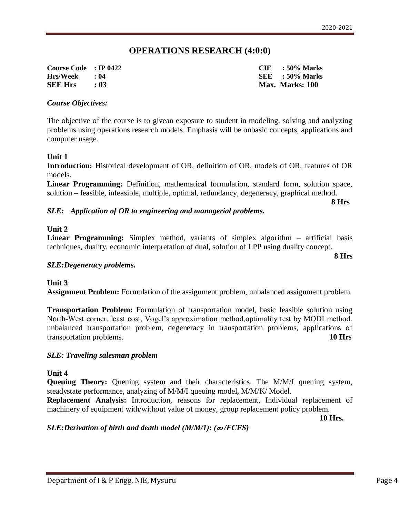# **OPERATIONS RESEARCH (4:0:0)**

**Course Code : IP 0422 CIE : 50% Marks Hrs/Week : 04 SEE : 50% Marks SEE Hrs : 03 Max. Marks: 100**

### *Course Objectives:*

The objective of the course is to givean exposure to student in modeling, solving and analyzing problems using operations research models. Emphasis will be onbasic concepts, applications and computer usage.

#### **Unit 1**

**Introduction:** Historical development of OR, definition of OR, models of OR, features of OR models.

**Linear Programming:** Definition, mathematical formulation, standard form, solution space, solution – feasible, infeasible, multiple, optimal, redundancy, degeneracy, graphical method.

**8 Hrs** 

#### *SLE: Application of OR to engineering and managerial problems.*

#### **Unit 2**

**Linear Programming:** Simplex method, variants of simplex algorithm – artificial basis techniques, duality, economic interpretation of dual, solution of LPP using duality concept.

**8 Hrs**

#### *SLE:Degeneracy problems.*

**Unit 3 Assignment Problem:** Formulation of the assignment problem, unbalanced assignment problem.

**Transportation Problem:** Formulation of transportation model, basic feasible solution using North-West corner, least cost, Vogel's approximation method,optimality test by MODI method. unbalanced transportation problem, degeneracy in transportation problems, applications of transportation problems. **10 Hrs**

### *SLE: Traveling salesman problem*

#### **Unit 4**

**Queuing Theory:** Queuing system and their characteristics. The M/M/I queuing system, steadystate performance, analyzing of M/M/I queuing model, M/M/K/ Model.

**Replacement Analysis:** Introduction, reasons for replacement, Individual replacement of machinery of equipment with/without value of money, group replacement policy problem.

**10 Hrs.**

*SLE:Derivation of birth and death model (M/M/1): ( /FCFS)*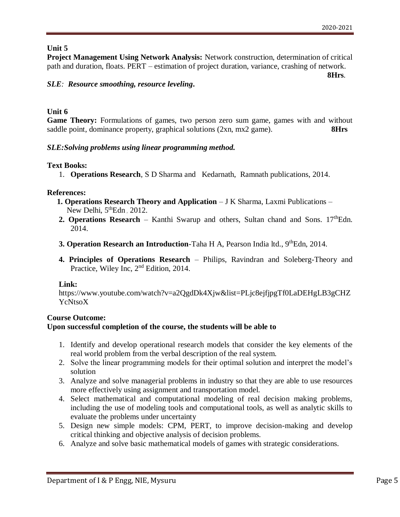**Project Management Using Network Analysis:** Network construction, determination of critical path and duration, floats. PERT – estimation of project duration, variance, crashing of network.

**8Hrs**.

# *SLE: Resource smoothing, resource leveling***.**

# **Unit 6**

**Game Theory:** Formulations of games, two person zero sum game, games with and without saddle point, dominance property, graphical solutions (2xn, mx2 game). **8Hrs** 

# *SLE:Solving problems using linear programming method.*

# **Text Books:**

1. **Operations Research**, S D Sharma and Kedarnath, Ramnath publications, 2014.

# **References:**

- **1. Operations Research Theory and Application** J K Sharma, Laxmi Publications New Delhi,  $5<sup>th</sup>Edn$ , 2012.
	- **2. Operations Research** Kanthi Swarup and others, Sultan chand and Sons.  $17<sup>th</sup>$ Edn. 2014.
	- **3. Operation Research an Introduction-Taha H A, Pearson India ltd., 9<sup>th</sup>Edn, 2014.**
	- **4. Principles of Operations Research** Philips, Ravindran and Soleberg-Theory and Practice, Wiley Inc, 2<sup>nd</sup> Edition, 2014.

# **Link:**

https://www.youtube.com/watch?v=a2QgdDk4Xjw&list=PLjc8ejfjpgTf0LaDEHgLB3gCHZ YcNtsoX

# **Course Outcome:**

# **Upon successful completion of the course, the students will be able to**

- 1. Identify and develop operational research models that consider the key elements of the real world problem from the verbal description of the real system.
- 2. Solve the linear programming models for their optimal solution and interpret the model's solution
- 3. Analyze and solve managerial problems in industry so that they are able to use resources more effectively using assignment and transportation model.
- 4. Select mathematical and computational modeling of real decision making problems, including the use of modeling tools and computational tools, as well as analytic skills to evaluate the problems under uncertainty
- 5. Design new simple models: CPM, PERT, to improve decision-making and develop critical thinking and objective analysis of decision problems.
- 6. Analyze and solve basic mathematical models of games with strategic considerations.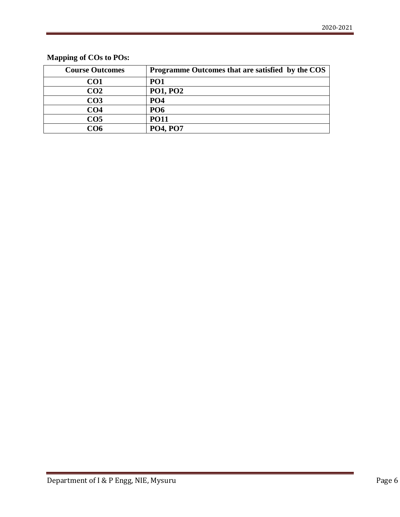| <b>Course Outcomes</b> | Programme Outcomes that are satisfied by the COS |
|------------------------|--------------------------------------------------|
| CO1                    | PO <sub>1</sub>                                  |
| CO <sub>2</sub>        | <b>PO1, PO2</b>                                  |
| CO <sub>3</sub>        | PO <sub>4</sub>                                  |
| CO <sub>4</sub>        | <b>PO6</b>                                       |
| CO <sub>5</sub>        | <b>PO11</b>                                      |
| <b>CO6</b>             | <b>PO4, PO7</b>                                  |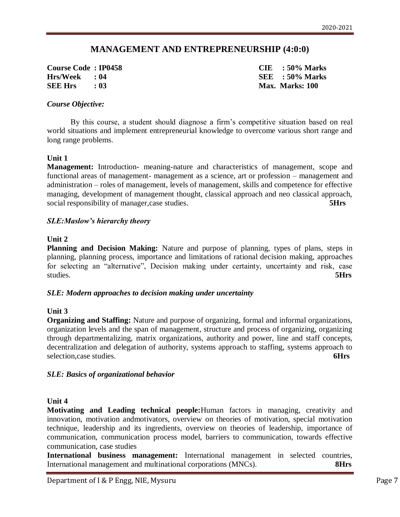# **MANAGEMENT AND ENTREPRENEURSHIP (4:0:0)**

**Course Code : IP0458 CIE : 50% Marks Hrs/Week : 04 SEE : 50% Marks SEE Hrs : 03 Max. Marks: 100**

# *Course Objective:*

By this course, a student should diagnose a firm's competitive situation based on real world situations and implement entrepreneurial knowledge to overcome various short range and long range problems.

# **Unit 1**

**Management:** Introduction- meaning-nature and characteristics of management, scope and functional areas of management- management as a science, art or profession – management and administration – roles of management, levels of management, skills and competence for effective managing, development of management thought, classical approach and neo classical approach, social responsibility of manager,case studies. **5Hrs** 

### *SLE:Maslow's hierarchy theory*

### **Unit 2**

**Planning and Decision Making:** Nature and purpose of planning, types of plans, steps in planning, planning process, importance and limitations of rational decision making, approaches for selecting an "alternative", Decision making under certainty, uncertainty and risk, case studies. **5Hrs**

### *SLE: Modern approaches to decision making under uncertainty*

### **Unit 3**

**Organizing and Staffing:** Nature and purpose of organizing, formal and informal organizations, organization levels and the span of management, structure and process of organizing, organizing through departmentalizing, matrix organizations, authority and power, line and staff concepts, decentralization and delegation of authority, systems approach to staffing, systems approach to selection,case studies. **6Hrs**

### *SLE: Basics of organizational behavior*

### **Unit 4**

**Motivating and Leading technical people:**Human factors in managing, creativity and innovation, motivation andmotivators, overview on theories of motivation, special motivation technique, leadership and its ingredients, overview on theories of leadership, importance of communication, communication process model, barriers to communication, towards effective communication, case studies

**International business management:** International management in selected countries, International management and multinational corporations (MNCs). **8Hrs**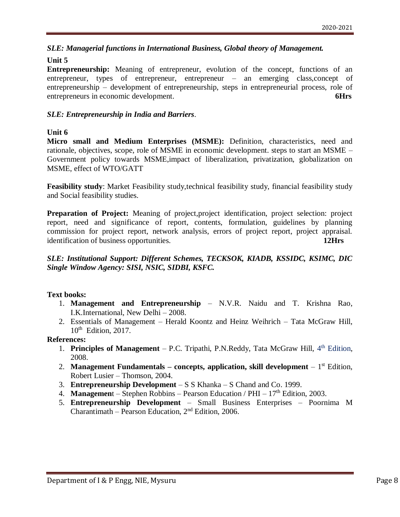# *SLE: Managerial functions in International Business, Global theory of Management.*

# **Unit 5**

**Entrepreneurship:** Meaning of entrepreneur, evolution of the concept, functions of an entrepreneur, types of entrepreneur, entrepreneur – an emerging class,concept of entrepreneurship – development of entrepreneurship, steps in entrepreneurial process, role of entrepreneurs in economic development. **6Hrs**

# *SLE: Entrepreneurship in India and Barriers*.

# **Unit 6**

**Micro small and Medium Enterprises (MSME):** Definition, characteristics, need and rationale, objectives, scope, role of MSME in economic development. steps to start an MSME – Government policy towards MSME,impact of liberalization, privatization, globalization on MSME, effect of WTO/GATT

Feasibility study: Market Feasibility study,technical feasibility study, financial feasibility study and Social feasibility studies.

**Preparation of Project:** Meaning of project, project identification, project selection: project report, need and significance of report, contents, formulation, guidelines by planning commission for project report, network analysis, errors of project report, project appraisal. identification of business opportunities. **12Hrs**

# *SLE: Institutional Support: Different Schemes, TECKSOK, KIADB, KSSIDC, KSIMC, DIC Single Window Agency: SISI, NSIC, SIDBI, KSFC.*

# **Text books:**

- 1. **Management and Entrepreneurship**  N.V.R. Naidu and T. Krishna Rao, I.K.International, New Delhi – 2008.
- 2. Essentials of Management Herald Koontz and Heinz Weihrich Tata McGraw Hill, 10<sup>th</sup> Edition, 2017.

# **References:**

- 1. **Principles of Management** P.C. Tripathi, P.N.Reddy, Tata McGraw Hill, 4<sup>th</sup> Edition, 2008.
- 2. **Management Fundamentals – concepts, application, skill development** 1 st Edition, Robert Lusier – Thomson, 2004.
- 3. **Entrepreneurship Development**  S S Khanka S Chand and Co. 1999.
- 4. **Management** Stephen Robbins Pearson Education / PHI  $17<sup>th</sup>$  Edition, 2003.
- 5. **Entrepreneurship Development**  Small Business Enterprises Poornima M Charantimath – Pearson Education, 2nd Edition, 2006.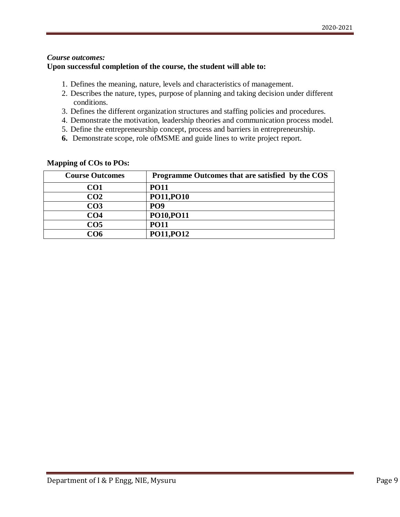# *Course outcomes:* **Upon successful completion of the course, the student will able to:**

- 1. Defines the meaning, nature, levels and characteristics of management.
- 2. Describes the nature, types, purpose of planning and taking decision under different conditions.
- 3. Defines the different organization structures and staffing policies and procedures.
- 4. Demonstrate the motivation, leadership theories and communication process model.
- 5. Define the entrepreneurship concept, process and barriers in entrepreneurship.
- **6.** Demonstrate scope, role ofMSME and guide lines to write project report.

| <b>Course Outcomes</b> | Programme Outcomes that are satisfied by the COS |
|------------------------|--------------------------------------------------|
| CO <sub>1</sub>        | <b>PO11</b>                                      |
| CO <sub>2</sub>        | PO11, PO10                                       |
| CO <sub>3</sub>        | <b>PO9</b>                                       |
| CO <sub>4</sub>        | PO10, PO11                                       |
| CO <sub>5</sub>        | <b>PO11</b>                                      |
| CO6                    | PO11, PO12                                       |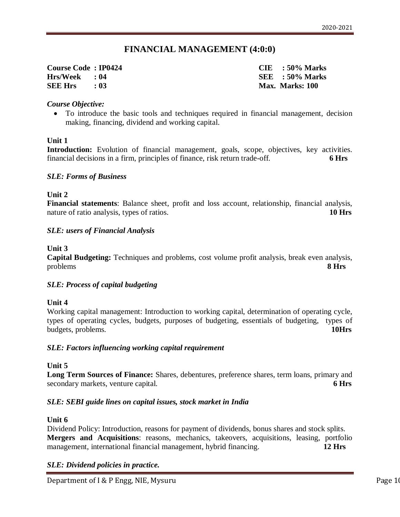# **FINANCIAL MANAGEMENT (4:0:0)**

**Course Code : IP0424 CIE : 50% Marks Hrs/Week : 04 SEE : 50% Marks SEE Hrs : 03 Max. Marks: 100**

# *Course Objective:*

 To introduce the basic tools and techniques required in financial management, decision making, financing, dividend and working capital.

# **Unit 1**

**Introduction:** Evolution of financial management, goals, scope, objectives, key activities. financial decisions in a firm, principles of finance, risk return trade-off. **6 Hrs**

### *SLE: Forms of Business*

# **Unit 2**

**Financial statements**: Balance sheet, profit and loss account, relationship, financial analysis, nature of ratio analysis, types of ratios. **10 Hrs** 

# *SLE: users of Financial Analysis*

# **Unit 3**

**Capital Budgeting:** Techniques and problems, cost volume profit analysis, break even analysis, problems **8 Hrs**

# *SLE: Process of capital budgeting*

### **Unit 4**

Working capital management: Introduction to working capital, determination of operating cycle, types of operating cycles, budgets, purposes of budgeting, essentials of budgeting, types of budgets, problems. **10Hrs** 

### *SLE: Factors influencing working capital requirement*

# **Unit 5**

**Long Term Sources of Finance:** Shares, debentures, preference shares, term loans, primary and secondary markets, venture capital. **6 Hrs** 

# *SLE: SEBI guide lines on capital issues, stock market in India*

### **Unit 6**

Dividend Policy: Introduction, reasons for payment of dividends, bonus shares and stock splits. **Mergers and Acquisitions**: reasons, mechanics, takeovers, acquisitions, leasing, portfolio management, international financial management, hybrid financing. **12 Hrs**

# *SLE: Dividend policies in practice.*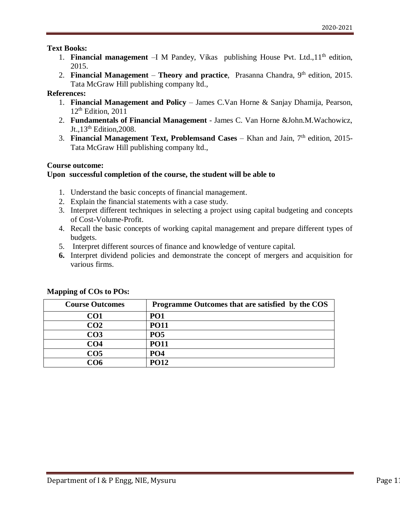# **Text Books:**

- 1. **Financial management** –I M Pandey, Vikas publishing House Pvt. Ltd.,  $11<sup>th</sup>$  edition, 2015.
- 2. **Financial Management Theory and practice**, Prasanna Chandra, 9<sup>th</sup> edition, 2015. Tata McGraw Hill publishing company ltd.,

# **References:**

- 1. **Financial Management and Policy** James C.Van Horne & Sanjay Dhamija, Pearson,  $12<sup>th</sup>$  Edition, 2011
- 2. **Fundamentals of Financial Management** James C. Van Horne &John.M.Wachowicz, Jt., 13<sup>th</sup> Edition, 2008.
- 3. **Financial Management Text, Problemsand Cases** Khan and Jain, 7th edition, 2015- Tata McGraw Hill publishing company ltd.,

# **Course outcome:**

# **Upon successful completion of the course, the student will be able to**

- 1. Understand the basic concepts of financial management.
- 2. Explain the financial statements with a case study.
- 3. Interpret different techniques in selecting a project using capital budgeting and concepts of Cost-Volume-Profit.
- 4. Recall the basic concepts of working capital management and prepare different types of budgets.
- 5. Interpret different sources of finance and knowledge of venture capital.
- **6.** Interpret dividend policies and demonstrate the concept of mergers and acquisition for various firms.

| <b>Course Outcomes</b> | Programme Outcomes that are satisfied by the COS |
|------------------------|--------------------------------------------------|
| CO1                    | PO <sub>1</sub>                                  |
| CO <sub>2</sub>        | <b>PO11</b>                                      |
| CO <sub>3</sub>        | <b>PO5</b>                                       |
| CO <sub>4</sub>        | <b>PO11</b>                                      |
| CO <sub>5</sub>        | <b>PO4</b>                                       |
| CO6                    | <b>PO12</b>                                      |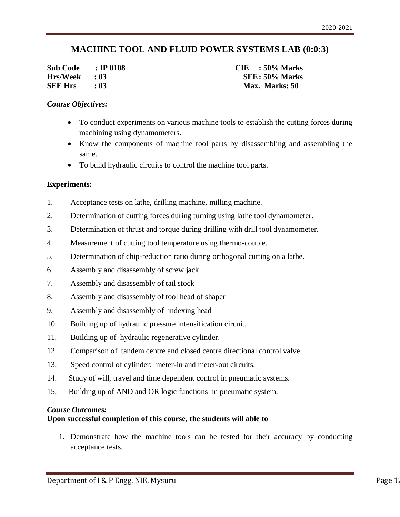# **MACHINE TOOL AND FLUID POWER SYSTEMS LAB (0:0:3)**

**Sub Code : IP 0108 CIE : 50% Marks Hrs/Week : 03 SEE: 50% Marks SEE Hrs : 03 Max. Marks: 50**

# *Course Objectives:*

- To conduct experiments on various machine tools to establish the cutting forces during machining using dynamometers.
- Know the components of machine tool parts by disassembling and assembling the same.
- To build hydraulic circuits to control the machine tool parts.

# **Experiments:**

- 1. Acceptance tests on lathe, drilling machine, milling machine.
- 2. Determination of cutting forces during turning using lathe tool dynamometer.
- 3. Determination of thrust and torque during drilling with drill tool dynamometer.
- 4. Measurement of cutting tool temperature using thermo-couple.
- 5. Determination of chip-reduction ratio during orthogonal cutting on a lathe.
- 6. Assembly and disassembly of screw jack
- 7. Assembly and disassembly of tail stock
- 8. Assembly and disassembly of tool head of shaper
- 9. Assembly and disassembly of indexing head
- 10. Building up of hydraulic pressure intensification circuit.
- 11. Building up of hydraulic regenerative cylinder.
- 12. Comparison of tandem centre and closed centre directional control valve.
- 13. Speed control of cylinder: meter-in and meter-out circuits.
- 14. Study of will, travel and time dependent control in pneumatic systems.
- 15. Building up of AND and OR logic functions in pneumatic system.

### *Course Outcomes:*

### **Upon successful completion of this course, the students will able to**

1. Demonstrate how the machine tools can be tested for their accuracy by conducting acceptance tests.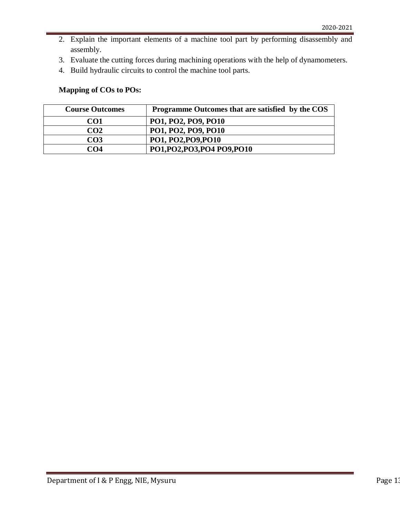- 2. Explain the important elements of a machine tool part by performing disassembly and assembly.
- 3. Evaluate the cutting forces during machining operations with the help of dynamometers.
- 4. Build hydraulic circuits to control the machine tool parts.

| <b>Course Outcomes</b> | Programme Outcomes that are satisfied by the COS |
|------------------------|--------------------------------------------------|
| CO <sub>1</sub>        | PO1, PO2, PO9, PO10                              |
| CO <sub>2</sub>        | PO1, PO2, PO9, PO10                              |
| CO <sub>3</sub>        | PO1, PO2, PO9, PO10                              |
| CO4                    | PO1, PO2, PO3, PO4 PO9, PO10                     |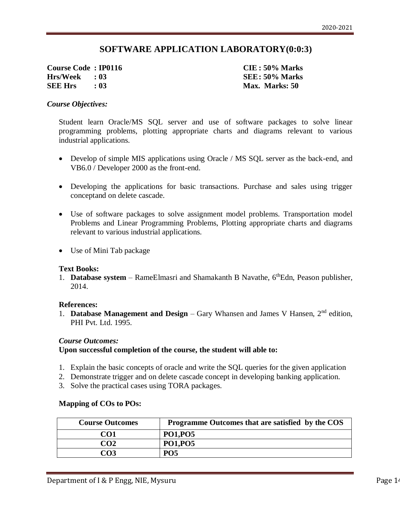# **SOFTWARE APPLICATION LABORATORY(0:0:3)**

**Course Code : IP0116 CIE : 50% Marks Hrs/Week : 03 SEE: 50% Marks SEE Hrs : 03 Max. Marks: 50**

#### *Course Objectives:*

Student learn Oracle/MS SQL server and use of software packages to solve linear programming problems, plotting appropriate charts and diagrams relevant to various industrial applications.

- Develop of simple MIS applications using Oracle / MS SQL server as the back-end, and VB6.0 / Developer 2000 as the front-end.
- Developing the applications for basic transactions. Purchase and sales using trigger conceptand on delete cascade.
- Use of software packages to solve assignment model problems. Transportation model Problems and Linear Programming Problems, Plotting appropriate charts and diagrams relevant to various industrial applications.
- Use of Mini Tab package

### **Text Books:**

1. **Database system** – RameElmasri and Shamakanth B Navathe, 6<sup>th</sup>Edn, Peason publisher, 2014.

#### **References:**

1. **Database Management and Design** – Gary Whansen and James V Hansen, 2nd edition, PHI Pvt. Ltd. 1995.

#### *Course Outcomes:*

### **Upon successful completion of the course, the student will able to:**

- 1. Explain the basic concepts of oracle and write the SQL queries for the given application
- 2. Demonstrate trigger and on delete cascade concept in developing banking application.
- 3. Solve the practical cases using TORA packages.

| <b>Course Outcomes</b> | Programme Outcomes that are satisfied by the COS |
|------------------------|--------------------------------------------------|
| CO1                    | <b>PO1, PO5</b>                                  |
| CO <sub>2</sub>        | <b>PO1, PO5</b>                                  |
| CO3                    | <b>PO5</b>                                       |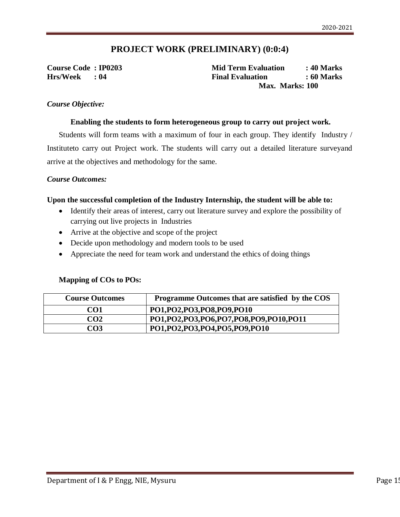# **PROJECT WORK (PRELIMINARY) (0:0:4)**

**Course Code : IP0203 Mid Term Evaluation : 40 Marks Hrs/Week : 04 Final Evaluation : 60 Marks Max. Marks: 100**

# *Course Objective:*

# **Enabling the students to form heterogeneous group to carry out project work.**

Students will form teams with a maximum of four in each group. They identify Industry / Instituteto carry out Project work. The students will carry out a detailed literature surveyand arrive at the objectives and methodology for the same.

### *Course Outcomes:*

# **Upon the successful completion of the Industry Internship, the student will be able to:**

- Identify their areas of interest, carry out literature survey and explore the possibility of carrying out live projects in Industries
- Arrive at the objective and scope of the project
- Decide upon methodology and modern tools to be used
- Appreciate the need for team work and understand the ethics of doing things

| <b>Course Outcomes</b> | Programme Outcomes that are satisfied by the COS |
|------------------------|--------------------------------------------------|
| CO1                    | PO1, PO2, PO3, PO8, PO9, PO10                    |
| CO <sub>2</sub>        | PO1,PO2,PO3,PO6,PO7,PO8,PO9,PO10,PO11            |
| CO3                    | PO1,PO2,PO3,PO4,PO5,PO9,PO10                     |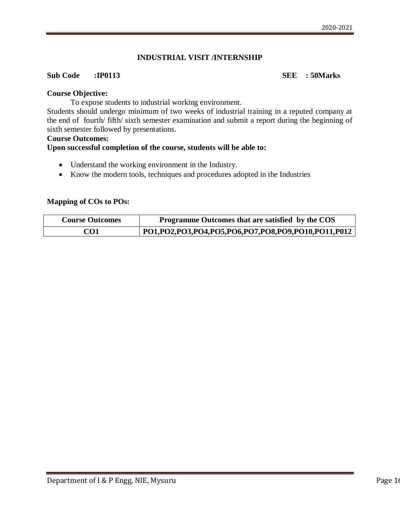# **INDUSTRIAL VISIT /INTERNSHIP**

# **Sub Code :IP0113 SEE : 50Marks**

# **Course Objective:**

To expose students to industrial working environment.

Students should undergo minimum of two weeks of industrial training in a reputed company at the end of fourth/ fifth/ sixth semester examination and submit a report during the beginning of sixth semester followed by presentations.

#### **Course Outcomes:**

# **Upon successful completion of the course, students will be able to:**

- Understand the working environment in the Industry.
- Know the modern tools, techniques and procedures adopted in the Industries

| <b>Course Outcomes</b> | Programme Outcomes that are satisfied by the COS   |
|------------------------|----------------------------------------------------|
| CO1                    | PO1,PO2,PO3,PO4,PO5,PO6,PO7,PO8,PO9,PO10,PO11,P012 |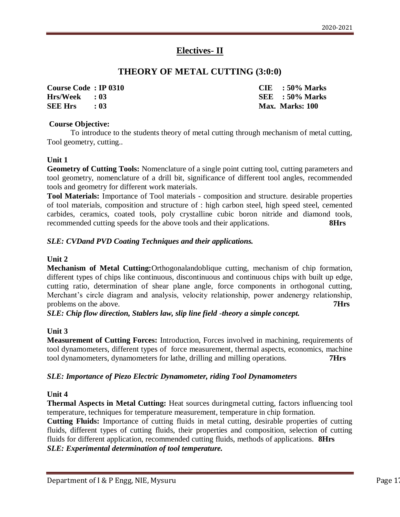# **Electives- II**

# **THEORY OF METAL CUTTING (3:0:0)**

**Course Code : IP 0310 CIE : 50% Marks Hrs/Week : 03 SEE : 50% Marks SEE Hrs : 03 Max. Marks: 100**

# **Course Objective:**

To introduce to the students theory of metal cutting through mechanism of metal cutting, Tool geometry, cutting..

### **Unit 1**

**Geometry of Cutting Tools:** Nomenclature of a single point cutting tool, cutting parameters and tool geometry, nomenclature of a drill bit, significance of different tool angles, recommended tools and geometry for different work materials.

**Tool Materials:** Importance of Tool materials - composition and structure. desirable properties of tool materials, composition and structure of : high carbon steel, high speed steel, cemented carbides, ceramics, coated tools, poly crystalline cubic boron nitride and diamond tools, recommended cutting speeds for the above tools and their applications. **8Hrs**

# *SLE: CVDand PVD Coating Techniques and their applications.*

### **Unit 2**

**Mechanism of Metal Cutting:**Orthogonalandoblique cutting, mechanism of chip formation, different types of chips like continuous, discontinuous and continuous chips with built up edge, cutting ratio, determination of shear plane angle, force components in orthogonal cutting, Merchant's circle diagram and analysis, velocity relationship, power andenergy relationship, problems on the above. **7Hrs**

*SLE: Chip flow direction, Stablers law, slip line field -theory a simple concept.*

### **Unit 3**

**Measurement of Cutting Forces:** Introduction, Forces involved in machining, requirements of tool dynamometers, different types of force measurement, thermal aspects, economics, machine tool dynamometers, dynamometers for lathe, drilling and milling operations. **7Hrs**

### *SLE: Importance of Piezo Electric Dynamometer, riding Tool Dynamometers*

### **Unit 4**

**Thermal Aspects in Metal Cutting:** Heat sources duringmetal cutting, factors influencing tool temperature, techniques for temperature measurement, temperature in chip formation.

**Cutting Fluids:** Importance of cutting fluids in metal cutting, desirable properties of cutting fluids, different types of cutting fluids, their properties and composition, selection of cutting fluids for different application, recommended cutting fluids, methods of applications. **8Hrs** *SLE: Experimental determination of tool temperature.*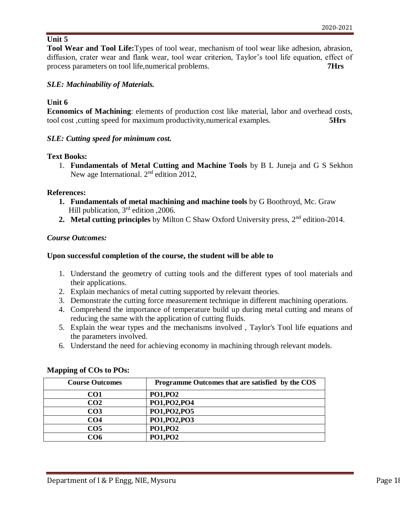**Tool Wear and Tool Life:**Types of tool wear, mechanism of tool wear like adhesion, abrasion, diffusion, crater wear and flank wear, tool wear criterion, Taylor's tool life equation, effect of process parameters on tool life,numerical problems. **7Hrs**

# *SLE: Machinability of Materials.*

# **Unit 6**

**Economics of Machining**: elements of production cost like material, labor and overhead costs, tool cost ,cutting speed for maximum productivity,numerical examples. **5Hrs**

# *SLE: Cutting speed for minimum cost.*

# **Text Books:**

1. **Fundamentals of Metal Cutting and Machine Tools** by B L Juneja and G S Sekhon New age International. 2<sup>nd</sup> edition 2012,

# **References:**

- **1. Fundamentals of metal machining and machine tools** by G Boothroyd, Mc. Graw Hill publication, 3<sup>rd</sup> edition , 2006.
- **2. Metal cutting principles** by Milton C Shaw Oxford University press, 2<sup>nd</sup> edition-2014.

# *Course Outcomes:*

# **Upon successful completion of the course, the student will be able to**

- 1. Understand the geometry of cutting tools and the different types of tool materials and their applications.
- 2. Explain mechanics of metal cutting supported by relevant theories.
- 3. Demonstrate the cutting force measurement technique in different machining operations.
- 4. Comprehend the importance of temperature build up during metal cutting and means of reducing the same with the application of cutting fluids.
- 5. Explain the wear types and the mechanisms involved , Taylor's Tool life equations and the parameters involved.
- 6. Understand the need for achieving economy in machining through relevant models.

| <b>Course Outcomes</b> | Programme Outcomes that are satisfied by the COS |
|------------------------|--------------------------------------------------|
| CO1                    | <b>PO1, PO2</b>                                  |
| CO <sub>2</sub>        | PO1, PO2, PO4                                    |
| CO <sub>3</sub>        | PO1, PO2, PO5                                    |
| CO <sub>4</sub>        | PO1, PO2, PO3                                    |
| CO <sub>5</sub>        | <b>PO1, PO2</b>                                  |
| CO6                    | <b>PO1, PO2</b>                                  |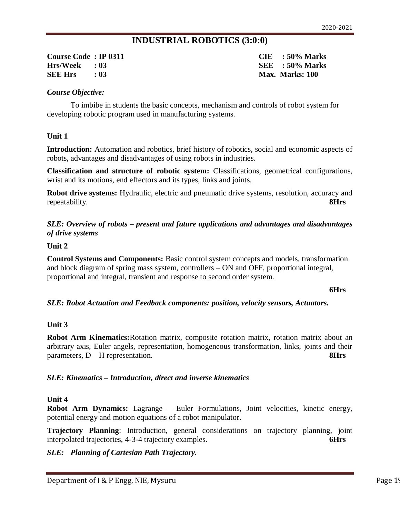# **INDUSTRIAL ROBOTICS (3:0:0)**

| Course Code: IP 0311 |      |
|----------------------|------|
| <b>Hrs/Week</b>      | : 03 |
| <b>SEE Hrs</b>       | : 03 |

**Course Code : IP 0311 CIE : 50% Marks Hrs/Week : 03 SEE : 50% Marks SEE Hrs : 03 Max. Marks: 100**

# *Course Objective:*

To imbibe in students the basic concepts, mechanism and controls of robot system for developing robotic program used in manufacturing systems.

# **Unit 1**

**Introduction:** Automation and robotics, brief history of robotics, social and economic aspects of robots, advantages and disadvantages of using robots in industries.

**Classification and structure of robotic system:** Classifications, geometrical configurations, wrist and its motions, end effectors and its types, links and joints.

**Robot drive systems:** Hydraulic, electric and pneumatic drive systems, resolution, accuracy and repeatability. **8Hrs**

# *SLE: Overview of robots – present and future applications and advantages and disadvantages of drive systems*

### **Unit 2**

**Control Systems and Components:** Basic control system concepts and models, transformation and block diagram of spring mass system, controllers – ON and OFF, proportional integral, proportional and integral, transient and response to second order system.

#### **6Hrs**

### *SLE: Robot Actuation and Feedback components: position, velocity sensors, Actuators.*

### **Unit 3**

**Robot Arm Kinematics:**Rotation matrix, composite rotation matrix, rotation matrix about an arbitrary axis, Euler angels, representation, homogeneous transformation, links, joints and their parameters, D – H representation. **8Hrs**

### *SLE: Kinematics – Introduction, direct and inverse kinematics*

### **Unit 4**

**Robot Arm Dynamics:** Lagrange – Euler Formulations, Joint velocities, kinetic energy, potential energy and motion equations of a robot manipulator.

**Trajectory Planning**: Introduction, general considerations on trajectory planning, joint interpolated trajectories, 4-3-4 trajectory examples. **6Hrs**

*SLE: Planning of Cartesian Path Trajectory.*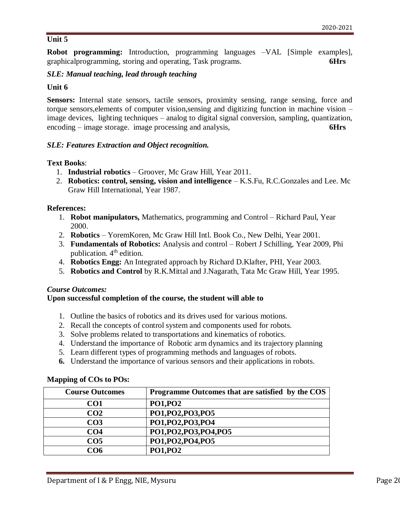**Robot programming:** Introduction, programming languages –VAL [Simple examples], graphicalprogramming, storing and operating, Task programs. **6Hrs**

# *SLE: Manual teaching, lead through teaching*

# **Unit 6**

**Sensors:** Internal state sensors, tactile sensors, proximity sensing, range sensing, force and torque sensors,elements of computer vision,sensing and digitizing function in machine vision – image devices, lighting techniques – analog to digital signal conversion, sampling, quantization, encoding – image storage. image processing and analysis, **6Hrs**

# *SLE: Features Extraction and Object recognition.*

# **Text Books**:

- 1. **Industrial robotics** Groover, Mc Graw Hill, Year 2011.
- 2. **Robotics: control, sensing, vision and intelligence** K.S.Fu, R.C.Gonzales and Lee. Mc Graw Hill International, Year 1987.

# **References:**

- 1. **Robot manipulators,** Mathematics, programming and Control Richard Paul, Year 2000.
- 2. **Robotics**  YoremKoren, Mc Graw Hill Intl. Book Co., New Delhi, Year 2001.
- 3. **Fundamentals of Robotics:** Analysis and control Robert J Schilling, Year 2009, Phi publication. 4<sup>th</sup> edition.
- 4. **Robotics Engg:** An Integrated approach by Richard D.Klafter, PHI, Year 2003.
- 5. **Robotics and Control** by R.K.Mittal and J.Nagarath, Tata Mc Graw Hill, Year 1995.

### *Course Outcomes:*

# **Upon successful completion of the course, the student will able to**

- 1. Outline the basics of robotics and its drives used for various motions.
- 2. Recall the concepts of control system and components used for robots.
- 3. Solve problems related to transportations and kinematics of robotics.
- 4. Understand the importance of Robotic arm dynamics and its trajectory planning
- 5. Learn different types of programming methods and languages of robots.
- **6.** Understand the importance of various sensors and their applications in robots.

| <b>Course Outcomes</b> | Programme Outcomes that are satisfied by the COS |
|------------------------|--------------------------------------------------|
| CO <sub>1</sub>        | <b>PO1, PO2</b>                                  |
| CO <sub>2</sub>        | PO1, PO2, PO3, PO5                               |
| CO <sub>3</sub>        | PO1, PO2, PO3, PO4                               |
| CO <sub>4</sub>        | PO1,PO2,PO3,PO4,PO5                              |
| CO <sub>5</sub>        | PO1, PO2, PO4, PO5                               |
| CO6                    | <b>PO1, PO2</b>                                  |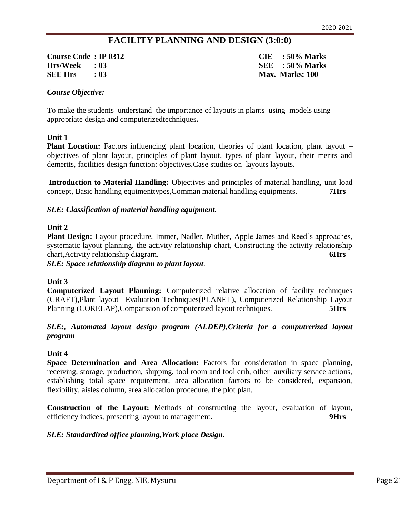# **FACILITY PLANNING AND DESIGN (3:0:0)**

**Course Code : IP 0312 CIE : 50% Marks Hrs/Week : 03 SEE : 50% Marks SEE Hrs : 03 Max. Marks: 100**

#### *Course Objective:*

To make the students understand the importance of layouts in plants using models using appropriate design and computerizedtechniques**.**

#### **Unit 1**

**Plant Location:** Factors influencing plant location, theories of plant location, plant layout – objectives of plant layout, principles of plant layout, types of plant layout, their merits and demerits, facilities design function: objectives.Case studies on layouts layouts.

**Introduction to Material Handling:** Objectives and principles of material handling, unit load concept, Basic handling equimenttypes,Comman material handling equipments. **7Hrs**

#### *SLE: Classification of material handling equipment.*

#### **Unit 2**

**Plant Design:** Layout procedure, Immer, Nadler, Muther, Apple James and Reed's approaches, systematic layout planning, the activity relationship chart, Constructing the activity relationship chart,Activity relationship diagram. **6Hrs**

*SLE: Space relationship diagram to plant layout.*

### **Unit 3**

**Computerized Layout Planning:** Computerized relative allocation of facility techniques (CRAFT),Plant layout Evaluation Techniques(PLANET), Computerized Relationship Layout Planning (CORELAP),Comparision of computerized layout techniques. **5Hrs**

# *SLE:, Automated layout design program (ALDEP),Criteria for a computrerized layout program*

### **Unit 4**

**Space Determination and Area Allocation:** Factors for consideration in space planning, receiving, storage, production, shipping, tool room and tool crib, other auxiliary service actions, establishing total space requirement, area allocation factors to be considered, expansion, flexibility, aisles column, area allocation procedure, the plot plan.

**Construction of the Layout:** Methods of constructing the layout, evaluation of layout, efficiency indices, presenting layout to management. **9Hrs**

### *SLE: Standardized office planning,Work place Design.*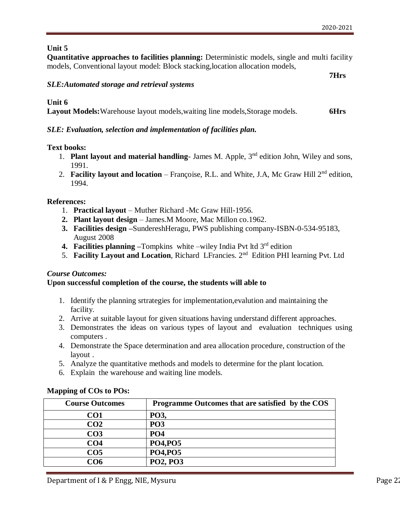**7Hrs**

# **Unit 5**

**Quantitative approaches to facilities planning:** Deterministic models, single and multi facility models, Conventional layout model: Block stacking,location allocation models,

# *SLE:Automated storage and retrieval systems*

**Unit 6**

**Layout Models:** Warehouse layout models, waiting line models, Storage models. **6Hrs** 

# *SLE: Evaluation, selection and implementation of facilities plan.*

# **Text books:**

- 1. **Plant layout and material handling** James M. Apple, 3nd edition John, Wiley and sons, 1991.
- 2. **Facility layout and location** Françoise, R.L. and White, J.A, Mc Graw Hill 2nd edition, 1994.

# **References:**

- 1. **Practical layout** Muther Richard -Mc Graw Hill-1956.
- **2. Plant layout design** James.M Moore, Mac Millon co.1962.
- **3. Facilities design –**SundereshHeragu, PWS publishing company-ISBN-0-534-95183, August 2008
- **4. Facilities planning** –Tompkins white –wiley India Pvt ltd 3<sup>rd</sup> edition
- 5. Facility Layout and Location, Richard LFrancies. 2<sup>nd</sup> Edition PHI learning Pvt. Ltd

# *Course Outcomes:*

# **Upon successful completion of the course, the students will able to**

- 1. Identify the planning srtrategies for implementation,evalution and maintaining the facility.
- 2. Arrive at suitable layout for given situations having understand different approaches.
- 3. Demonstrates the ideas on various types of layout and evaluation techniques using computers .
- 4. Demonstrate the Space determination and area allocation procedure, construction of the layout .
- 5. Analyze the quantitative methods and models to determine for the plant location.
- 6. Explain the warehouse and waiting line models.

| <b>Course Outcomes</b> | Programme Outcomes that are satisfied by the COS |
|------------------------|--------------------------------------------------|
| CO <sub>1</sub>        | PO3,                                             |
| CO <sub>2</sub>        | PO <sub>3</sub>                                  |
| CO <sub>3</sub>        | PO <sub>4</sub>                                  |
| CO <sub>4</sub>        | <b>PO4, PO5</b>                                  |
| CO <sub>5</sub>        | <b>PO4, PO5</b>                                  |
| CO6                    | <b>PO2, PO3</b>                                  |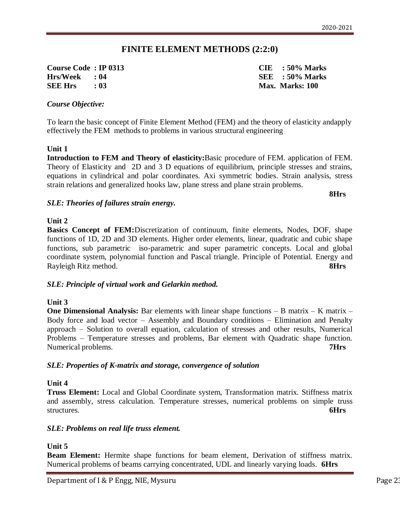**8Hrs** 

# **FINITE ELEMENT METHODS (2:2:0)**

**Course Code : IP 0313 CIE : 50% Marks Hrs/Week : 04 SEE : 50% Marks SEE Hrs : 03 Max. Marks: 100**

# *Course Objective:*

To learn the basic concept of Finite Element Method (FEM) and the theory of elasticity andapply effectively the FEM methods to problems in various structural engineering

# **Unit 1**

**Introduction to FEM and Theory of elasticity:**Basic procedure of FEM. application of FEM. Theory of Elasticity and 2D and 3 D equations of equilibrium, principle stresses and strains, equations in cylindrical and polar coordinates. Axi symmetric bodies. Strain analysis, stress strain relations and generalized hooks law, plane stress and plane strain problems.

# *SLE: Theories of failures strain energy.*

### **Unit 2**

**Basics Concept of FEM:**Discretization of continuum, finite elements, Nodes, DOF, shape functions of 1D, 2D and 3D elements. Higher order elements, linear, quadratic and cubic shape functions, sub parametric iso-parametric and super parametric concepts. Local and global coordinate system, polynomial function and Pascal triangle. Principle of Potential. Energy and Rayleigh Ritz method. **8Hrs** 

### *SLE: Principle of virtual work and Gelarkin method.*

### **Unit 3**

**One Dimensional Analysis:** Bar elements with linear shape functions – B matrix – K matrix – Body force and load vector – Assembly and Boundary conditions – Elimination and Penalty approach – Solution to overall equation, calculation of stresses and other results, Numerical Problems – Temperature stresses and problems, Bar element with Quadratic shape function. Numerical problems. **7Hrs**

### *SLE: Properties of K-matrix and storage, convergence of solution*

### **Unit 4**

**Truss Element:** Local and Global Coordinate system, Transformation matrix. Stiffness matrix and assembly, stress calculation. Temperature stresses, numerical problems on simple truss structures. **6Hrs** 

### *SLE: Problems on real life truss element.*

### **Unit 5**

**Beam Element:** Hermite shape functions for beam element, Derivation of stiffness matrix. Numerical problems of beams carrying concentrated, UDL and linearly varying loads. **6Hrs**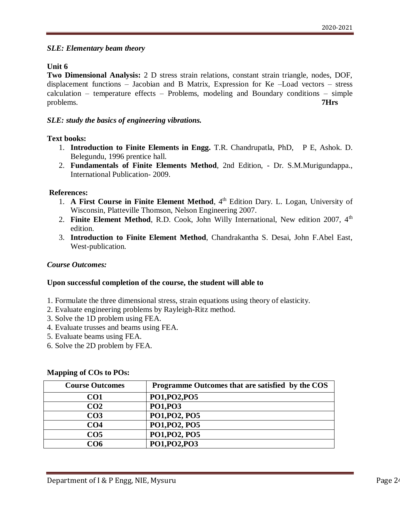# *SLE: Elementary beam theory*

# **Unit 6**

**Two Dimensional Analysis:** 2 D stress strain relations, constant strain triangle, nodes, DOF, displacement functions – Jacobian and B Matrix, Expression for Ke –Load vectors – stress calculation – temperature effects – Problems, modeling and Boundary conditions – simple problems. **7Hrs** 

# *SLE: study the basics of engineering vibrations.*

# **Text books:**

- 1. **Introduction to Finite Elements in Engg.** T.R. Chandrupatla, PhD, P E, Ashok. D. Belegundu, 1996 prentice hall.
- 2. **Fundamentals of Finite Elements Method**, 2nd Edition, Dr. S.M.Murigundappa., International Publication- 2009.

# **References:**

- 1. **A First Course in Finite Element Method**, 4<sup>th</sup> Edition Dary. L. Logan, University of Wisconsin, Platteville Thomson, Nelson Engineering 2007.
- 2. **Finite Element Method**, R.D. Cook, John Willy International, New edition 2007, 4<sup>th</sup> edition.
- 3. **Introduction to Finite Element Method**, Chandrakantha S. Desai, John F.Abel East, West-publication.

# *Course Outcomes:*

# **Upon successful completion of the course, the student will able to**

- 1. Formulate the three dimensional stress, strain equations using theory of elasticity.
- 2. Evaluate engineering problems by Rayleigh-Ritz method.
- 3. Solve the 1D problem using FEA.
- 4. Evaluate trusses and beams using FEA.
- 5. Evaluate beams using FEA.
- 6. Solve the 2D problem by FEA.

| <b>Course Outcomes</b> | Programme Outcomes that are satisfied by the COS |
|------------------------|--------------------------------------------------|
| CO <sub>1</sub>        | PO1, PO2, PO5                                    |
| CO <sub>2</sub>        | <b>PO1, PO3</b>                                  |
| CO <sub>3</sub>        | PO1, PO2, PO5                                    |
| CO <sub>4</sub>        | PO1, PO2, PO5                                    |
| CO <sub>5</sub>        | PO1, PO2, PO5                                    |
| <b>CO6</b>             | PO1, PO2, PO3                                    |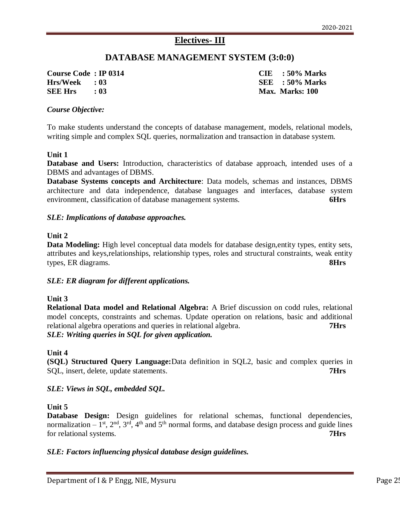# **Electives- III**

# **DATABASE MANAGEMENT SYSTEM (3:0:0)**

**Course Code : IP 0314 CIE : 50% Marks Hrs/Week : 03 SEE : 50% Marks SEE Hrs : 03 Max. Marks: 100**

# *Course Objective:*

To make students understand the concepts of database management, models, relational models, writing simple and complex SQL queries, normalization and transaction in database system.

#### **Unit 1**

**Database and Users:** Introduction, characteristics of database approach, intended uses of a DBMS and advantages of DBMS.

**Database Systems concepts and Architecture**: Data models, schemas and instances, DBMS architecture and data independence, database languages and interfaces, database system environment, classification of database management systems. **6Hrs**

#### *SLE: Implications of database approaches.*

#### **Unit 2**

**Data Modeling:** High level conceptual data models for database design,entity types, entity sets, attributes and keys,relationships, relationship types, roles and structural constraints, weak entity types, ER diagrams. **8Hrs**

### *SLE: ER diagram for different applications.*

### **Unit 3**

**Relational Data model and Relational Algebra:** A Brief discussion on codd rules, relational model concepts, constraints and schemas. Update operation on relations, basic and additional relational algebra operations and queries in relational algebra. **7Hrs** *SLE: Writing queries in SQL for given application.*

#### **Unit 4**

**(SQL) Structured Query Language:**Data definition in SQL2, basic and complex queries in SQL, insert, delete, update statements. **7Hrs**

### *SLE: Views in SQL, embedded SQL.*

#### **Unit 5**

**Database Design:** Design guidelines for relational schemas, functional dependencies, normalization –  $1<sup>st</sup>$ ,  $2<sup>nd</sup>$ ,  $3<sup>rd</sup>$ ,  $4<sup>th</sup>$  and  $5<sup>th</sup>$  normal forms, and database design process and guide lines for relational systems. **7Hrs**

### *SLE: Factors influencing physical database design guidelines.*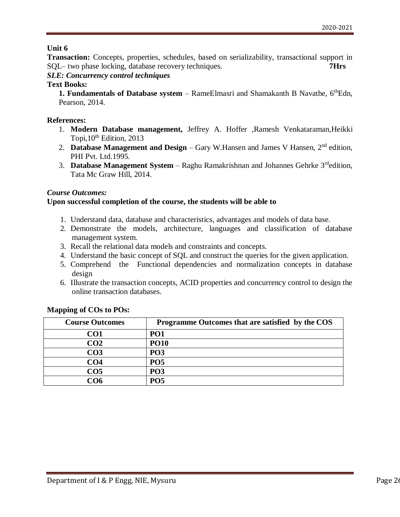**Transaction:** Concepts, properties, schedules, based on serializability, transactional support in SQL– two phase locking, database recovery techniques. **7Hrs**

# *SLE: Concurrency control techniques*

# **Text Books:**

**1. Fundamentals of Database system** – RameElmasri and Shamakanth B Navathe, 6<sup>th</sup>Edn, Pearson, 2014.

# **References:**

- 1. **Modern Database management,** Jeffrey A. Hoffer ,Ramesh Venkataraman,Heikki Topi,  $10^{th}$  Edition, 2013
- 2. **Database Management and Design** Gary W.Hansen and James V Hansen, 2nd edition, PHI Pvt. Ltd.1995.
- 3. **Database Management System** Raghu Ramakrishnan and Johannes Gehrke 3rdedition, Tata Mc Graw Hill, 2014.

# *Course Outcomes:*

# **Upon successful completion of the course, the students will be able to**

- 1. Understand data, database and characteristics, advantages and models of data base.
- 2. Demonstrate the models, architecture, languages and classification of database management system.
- 3. Recall the relational data models and constraints and concepts.
- 4. Understand the basic concept of SQL and construct the queries for the given application.
- 5. Comprehend the Functional dependencies and normalization concepts in database design
- 6. Illustrate the transaction concepts, ACID properties and concurrency control to design the online transaction databases.

| <b>Course Outcomes</b> | Programme Outcomes that are satisfied by the COS |
|------------------------|--------------------------------------------------|
| CO1                    | PO <sub>1</sub>                                  |
| CO <sub>2</sub>        | <b>PO10</b>                                      |
| CO <sub>3</sub>        | PO <sub>3</sub>                                  |
| CO4                    | PO <sub>5</sub>                                  |
| CO <sub>5</sub>        | PO <sub>3</sub>                                  |
|                        | PO <sub>5</sub>                                  |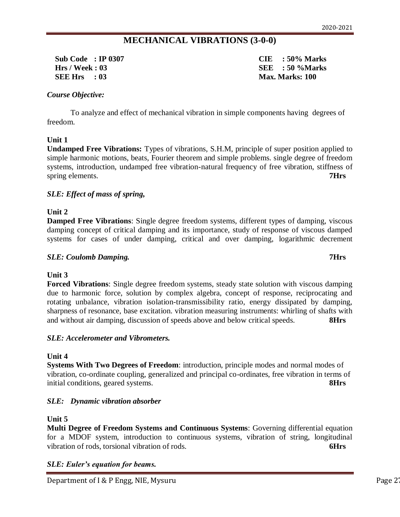# **MECHANICAL VIBRATIONS (3-0-0)**

 **Sub Code : IP 0307 CIE : 50% Marks Hrs / Week : 03 SEE : 50 %Marks SEE Hrs : 03 Max. Marks: 100** 

# *Course Objective:*

To analyze and effect of mechanical vibration in simple components having degrees of freedom.

### **Unit 1**

**Undamped Free Vibrations:** Types of vibrations, S.H.M, principle of super position applied to simple harmonic motions, beats, Fourier theorem and simple problems. single degree of freedom systems, introduction, undamped free vibration-natural frequency of free vibration, stiffness of spring elements. **7Hrs**

# *SLE: Effect of mass of spring,*

# **Unit 2**

**Damped Free Vibrations**: Single degree freedom systems, different types of damping, viscous damping concept of critical damping and its importance, study of response of viscous damped systems for cases of under damping, critical and over damping, logarithmic decrement

# *SLE: Coulomb Damping.* **7Hrs**

# **Unit 3**

**Forced Vibrations**: Single degree freedom systems, steady state solution with viscous damping due to harmonic force, solution by complex algebra, concept of response, reciprocating and rotating unbalance, vibration isolation-transmissibility ratio, energy dissipated by damping, sharpness of resonance, base excitation. vibration measuring instruments: whirling of shafts with and without air damping, discussion of speeds above and below critical speeds. **8Hrs**

### *SLE: Accelerometer and Vibrometers.*

# **Unit 4**

**Systems With Two Degrees of Freedom**: introduction, principle modes and normal modes of vibration, co-ordinate coupling, generalized and principal co-ordinates, free vibration in terms of initial conditions, geared systems. **8Hrs**

# *SLE: Dynamic vibration absorber*

### **Unit 5**

**Multi Degree of Freedom Systems and Continuous Systems**: Governing differential equation for a MDOF system, introduction to continuous systems, vibration of string, longitudinal vibration of rods, torsional vibration of rods. **6Hrs**

# *SLE: Euler's equation for beams.*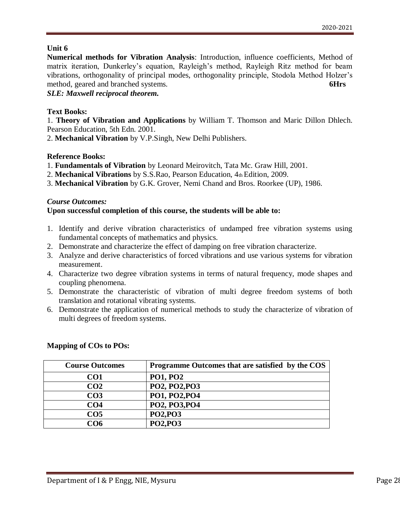**Numerical methods for Vibration Analysis**: Introduction, influence coefficients, Method of matrix iteration, Dunkerley's equation, Rayleigh's method, Rayleigh Ritz method for beam vibrations, orthogonality of principal modes, orthogonality principle, Stodola Method Holzer's method, geared and branched systems. **6Hrs**

# *SLE: Maxwell reciprocal theorem.*

# **Text Books:**

1. **Theory of Vibration and Applications** by William T. Thomson and Maric Dillon Dhlech. Pearson Education, 5th Edn. 2001.

2. **Mechanical Vibration** by V.P.Singh, New Delhi Publishers.

# **Reference Books:**

- 1. **Fundamentals of Vibration** by Leonard Meirovitch, Tata Mc. Graw Hill, 2001.
- 2. **Mechanical Vibrations** by S.S.Rao, Pearson Education, 4th Edition, 2009.
- 3. **Mechanical Vibration** by G.K. Grover, Nemi Chand and Bros. Roorkee (UP), 1986.

# *Course Outcomes:*

# **Upon successful completion of this course, the students will be able to:**

- 1. Identify and derive vibration characteristics of undamped free vibration systems using fundamental concepts of mathematics and physics.
- 2. Demonstrate and characterize the effect of damping on free vibration characterize.
- 3. Analyze and derive characteristics of forced vibrations and use various systems for vibration measurement.
- 4. Characterize two degree vibration systems in terms of natural frequency, mode shapes and coupling phenomena.
- 5. Demonstrate the characteristic of vibration of multi degree freedom systems of both translation and rotational vibrating systems.
- 6. Demonstrate the application of numerical methods to study the characterize of vibration of multi degrees of freedom systems.

| <b>Course Outcomes</b> | Programme Outcomes that are satisfied by the COS |
|------------------------|--------------------------------------------------|
| CO <sub>1</sub>        | <b>PO1, PO2</b>                                  |
| CO <sub>2</sub>        | PO2, PO2, PO3                                    |
| CO <sub>3</sub>        | PO1, PO2, PO4                                    |
| CO <sub>4</sub>        | PO2, PO3, PO4                                    |
| CO <sub>5</sub>        | <b>PO2, PO3</b>                                  |
| CO <sub>6</sub>        | <b>PO2, PO3</b>                                  |
|                        |                                                  |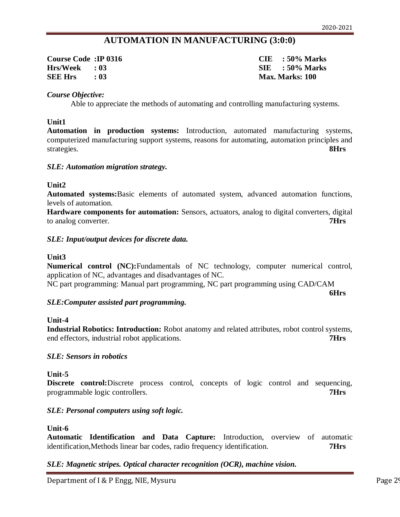# **AUTOMATION IN MANUFACTURING (3:0:0)**

| <b>Course Code: IP 0316</b> |      |
|-----------------------------|------|
| <b>Hrs/Week</b>             | : 03 |
| <b>SEE Hrs</b>              | : 03 |

**Course Code :IP 0316 CIE : 50% Marks Hrs/Week : 03 SIE : 50% Marks SEE Hrs : 03 Max. Marks: 100**

#### *Course Objective:*

Able to appreciate the methods of automating and controlling manufacturing systems.

#### **Unit1**

**Automation in production systems:** Introduction, automated manufacturing systems, computerized manufacturing support systems, reasons for automating, automation principles and strategies. **8Hrs**

#### *SLE: Automation migration strategy.*

#### **Unit2**

**Automated systems:**Basic elements of automated system, advanced automation functions, levels of automation.

**Hardware components for automation:** Sensors, actuators, analog to digital converters, digital to analog converter. **7Hrs**

#### *SLE: Input/output devices for discrete data.*

#### **Unit3**

**Numerical control (NC):**Fundamentals of NC technology, computer numerical control, application of NC, advantages and disadvantages of NC.

NC part programming: Manual part programming, NC part programming using CAD/CAM

**6Hrs**

#### *SLE:Computer assisted part programming.*

#### **Unit-4**

**Industrial Robotics: Introduction:** Robot anatomy and related attributes, robot control systems, end effectors, industrial robot applications. **7Hrs**

### *SLE: Sensors in robotics*

#### **Unit-5**

**Discrete control:**Discrete process control, concepts of logic control and sequencing, programmable logic controllers. **7Hrs**

### *SLE: Personal computers using soft logic.*

#### **Unit-6**

**Automatic Identification and Data Capture:** Introduction, overview of automatic identification,Methods linear bar codes, radio frequency identification. **7Hrs**

### *SLE: Magnetic stripes. Optical character recognition (OCR), machine vision.*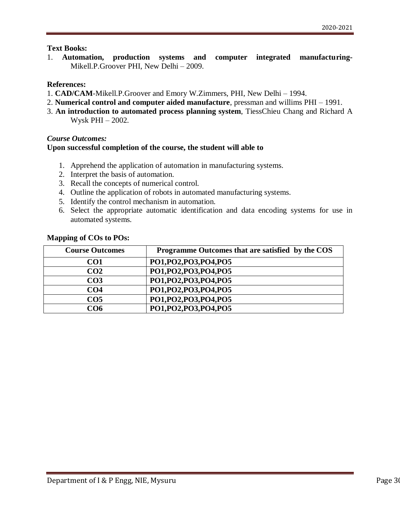# **Text Books:**

1. **Automation, production systems and computer integrated manufacturing-**Mikell.P.Groover PHI, New Delhi – 2009.

# **References:**

- 1. **CAD/CAM**-Mikell.P.Groover and Emory W.Zimmers, PHI, New Delhi 1994.
- 2. **Numerical control and computer aided manufacture**, pressman and willims PHI 1991.
- 3. **An introduction to automated process planning system**, TiessChieu Chang and Richard A Wysk PHI – 2002.

# *Course Outcomes:*

# **Upon successful completion of the course, the student will able to**

- 1. Apprehend the application of automation in manufacturing systems.
- 2. Interpret the basis of automation.
- 3. Recall the concepts of numerical control.
- 4. Outline the application of robots in automated manufacturing systems.
- 5. Identify the control mechanism in automation.
- 6. Select the appropriate automatic identification and data encoding systems for use in automated systems.

| <b>Course Outcomes</b> | Programme Outcomes that are satisfied by the COS |
|------------------------|--------------------------------------------------|
| CO <sub>1</sub>        | PO1, PO2, PO3, PO4, PO5                          |
| CO <sub>2</sub>        | PO1,PO2,PO3,PO4,PO5                              |
| CO <sub>3</sub>        | PO1,PO2,PO3,PO4,PO5                              |
| CO <sub>4</sub>        | PO1,PO2,PO3,PO4,PO5                              |
| CO <sub>5</sub>        | PO1,PO2,PO3,PO4,PO5                              |
| CO6                    | PO1,PO2,PO3,PO4,PO5                              |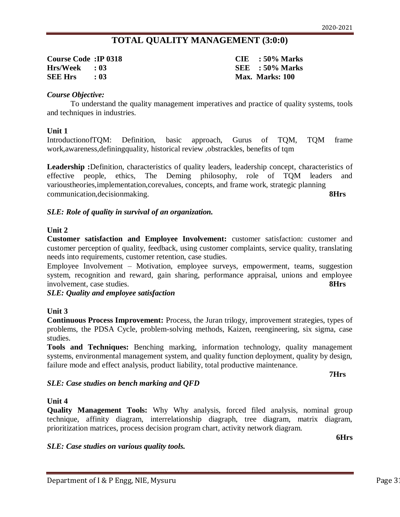*SLE: Case studies on various quality tools.*

*SLE: Case studies on bench marking and QFD*

# **TOTAL QUALITY MANAGEMENT (3:0:0)**

**Course Code :IP 0318 CIE : 50% Marks Hrs/Week : 03 SEE : 50% Marks SEE Hrs : 03 Max. Marks: 100**

#### *Course Objective:*

To understand the quality management imperatives and practice of quality systems, tools and techniques in industries.

#### **Unit 1**

IntroductionofTQM: Definition, basic approach, Gurus of TQM, TQM frame work,awareness,definingquality, historical review ,obstrackles, benefits of tqm

**Leadership :**Definition, characteristics of quality leaders, leadership concept, characteristics of effective people, ethics, The Deming philosophy, role of TQM leaders and varioustheories,implementation,corevalues, concepts, and frame work, strategic planning communication,decisionmaking. **8Hrs**

### *SLE: Role of quality in survival of an organization.*

### **Unit 2**

**Customer satisfaction and Employee Involvement:** customer satisfaction: customer and customer perception of quality, feedback, using customer complaints, service quality, translating needs into requirements, customer retention, case studies.

Employee Involvement – Motivation, employee surveys, empowerment, teams, suggestion system, recognition and reward, gain sharing, performance appraisal, unions and employee involvement, case studies. **8Hrs**

# *SLE: Quality and employee satisfaction*

### **Unit 3**

**Continuous Process Improvement:** Process, the Juran trilogy, improvement strategies, types of problems, the PDSA Cycle, problem-solving methods, Kaizen, reengineering, six sigma, case studies.

**Tools and Techniques:** Benching marking, information technology, quality management systems, environmental management system, and quality function deployment, quality by design, failure mode and effect analysis, product liability, total productive maintenance.

#### **7Hrs**

# **Unit 4**

**Quality Management Tools:** Why Why analysis, forced filed analysis, nominal group technique, affinity diagram, interrelationship diagraph, tree diagram, matrix diagram, prioritization matrices, process decision program chart, activity network diagram.

**6Hrs**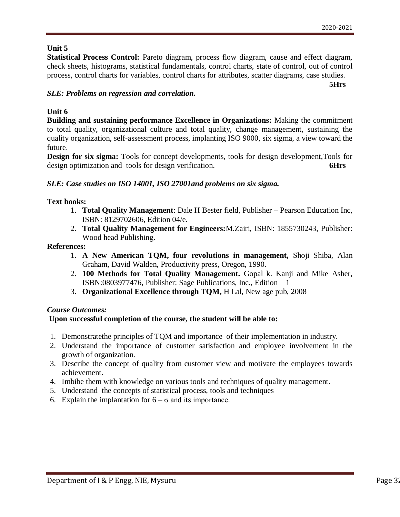**Statistical Process Control:** Pareto diagram, process flow diagram, cause and effect diagram, check sheets, histograms, statistical fundamentals, control charts, state of control, out of control process, control charts for variables, control charts for attributes, scatter diagrams, case studies.

**5Hrs**

# *SLE: Problems on regression and correlation.*

# **Unit 6**

**Building and sustaining performance Excellence in Organizations:** Making the commitment to total quality, organizational culture and total quality, change management, sustaining the quality organization, self-assessment process, implanting ISO 9000, six sigma, a view toward the future.

**Design for six sigma:** Tools for concept developments, tools for design development,Tools for design optimization and tools for design verification. **6Hrs**

# *SLE: Case studies on ISO 14001, ISO 27001and problems on six sigma.*

# **Text books:**

- 1. **Total Quality Management**: Dale H Bester field, Publisher Pearson Education Inc, ISBN: 8129702606, Edition 04/e.
- 2. **Total Quality Management for Engineers:**M.Zairi, ISBN: 1855730243, Publisher: Wood head Publishing.

# **References:**

- 1. **A New American TQM, four revolutions in management,** Shoji Shiba, Alan Graham, David Walden, Productivity press, Oregon, 1990.
- 2. **100 Methods for Total Quality Management.** Gopal k. Kanji and Mike Asher, ISBN:0803977476, Publisher: Sage Publications, Inc., Edition – 1
- 3. **Organizational Excellence through TQM,** H Lal, New age pub, 2008

# *Course Outcomes:*

# **Upon successful completion of the course, the student will be able to:**

- 1. Demonstratethe principles of TQM and importance of their implementation in industry.
- 2. Understand the importance of customer satisfaction and employee involvement in the growth of organization.
- 3. Describe the concept of quality from customer view and motivate the employees towards achievement.
- 4. Imbibe them with knowledge on various tools and techniques of quality management.
- 5. Understand the concepts of statistical process, tools and techniques
- 6. Explain the implantation for  $6 \sigma$  and its importance.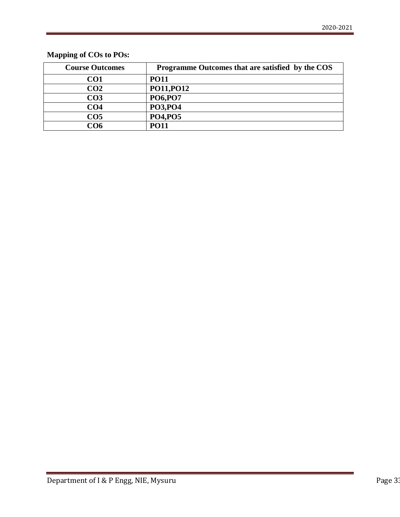| <b>Course Outcomes</b> | Programme Outcomes that are satisfied by the COS |
|------------------------|--------------------------------------------------|
| CO <sub>1</sub>        | <b>PO11</b>                                      |
| CO <sub>2</sub>        | PO11, PO12                                       |
| CO <sub>3</sub>        | <b>PO6,PO7</b>                                   |
| CO <sub>4</sub>        | PO3, PO4                                         |
| CO <sub>5</sub>        | <b>PO4,PO5</b>                                   |
| CO6                    | <b>PO11</b>                                      |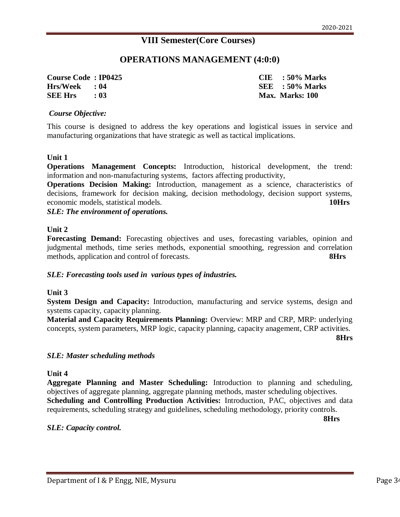# **VIII Semester(Core Courses)**

# **OPERATIONS MANAGEMENT (4:0:0)**

**Course Code : IP0425 CIE : 50% Marks Hrs/Week : 04 SEE : 50% Marks SEE Hrs : 03 Max. Marks: 100**

# *Course Objective:*

This course is designed to address the key operations and logistical issues in service and manufacturing organizations that have strategic as well as tactical implications.

### **Unit 1**

**Operations Management Concepts:** Introduction, historical development, the trend: information and non-manufacturing systems, factors affecting productivity,

**Operations Decision Making:** Introduction, management as a science, characteristics of decisions, framework for decision making, decision methodology, decision support systems, economic models, statistical models. **10Hrs**

*SLE: The environment of operations.* 

### **Unit 2**

**Forecasting Demand:** Forecasting objectives and uses, forecasting variables, opinion and judgmental methods, time series methods, exponential smoothing, regression and correlation methods, application and control of forecasts. **8Hrs**

### *SLE: Forecasting tools used in various types of industries.*

### **Unit 3**

**System Design and Capacity:** Introduction, manufacturing and service systems, design and systems capacity, capacity planning.

**Material and Capacity Requirements Planning:** Overview: MRP and CRP, MRP: underlying concepts, system parameters, MRP logic, capacity planning, capacity anagement, CRP activities.

**8Hrs**

### *SLE: Master scheduling methods*

### **Unit 4**

**Aggregate Planning and Master Scheduling:** Introduction to planning and scheduling, objectives of aggregate planning, aggregate planning methods, master scheduling objectives. **Scheduling and Controlling Production Activities:** Introduction, PAC, objectives and data requirements, scheduling strategy and guidelines, scheduling methodology, priority controls.

 **8Hrs**

*SLE: Capacity control.*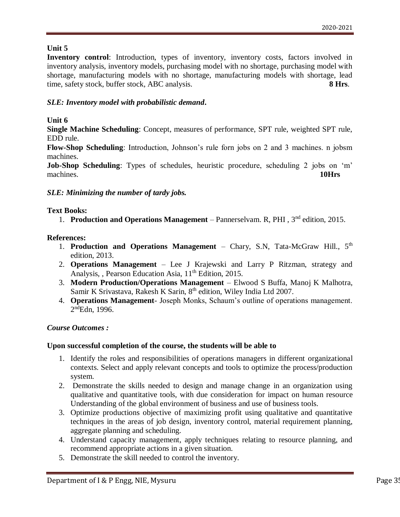**Inventory control**: Introduction, types of inventory, inventory costs, factors involved in inventory analysis, inventory models, purchasing model with no shortage, purchasing model with shortage, manufacturing models with no shortage, manufacturing models with shortage, lead time, safety stock, buffer stock, ABC analysis. **8 Hrs**.

# *SLE: Inventory model with probabilistic demand***.**

# **Unit 6**

**Single Machine Scheduling**: Concept, measures of performance, SPT rule, weighted SPT rule, EDD rule.

**Flow-Shop Scheduling**: Introduction, Johnson's rule forn jobs on 2 and 3 machines. n jobsm machines.

**Job-Shop Scheduling**: Types of schedules, heuristic procedure, scheduling 2 jobs on 'm' machines. **10Hrs**

# *SLE: Minimizing the number of tardy jobs.*

# **Text Books:**

1. **Production and Operations Management** – Pannerselvam. R, PHI , 3nd edition, 2015.

# **References:**

- 1. **Production and Operations Management** Chary, S.N, Tata-McGraw Hill., 5<sup>th</sup> edition, 2013.
- 2. **Operations Management** Lee J Krajewski and Larry P Ritzman, strategy and Analysis, , Pearson Education Asia, 11<sup>th</sup> Edition, 2015.
- 3. **Modern Production/Operations Management** Elwood S Buffa, Manoj K Malhotra, Samir K Srivastava, Rakesh K Sarin, 8<sup>th</sup> edition, Wiley India Ltd 2007.
- 4. **Operations Management** Joseph Monks, Schaum's outline of operations management. 2<sup>nd</sup>Edn, 1996.

# *Course Outcomes :*

# **Upon successful completion of the course, the students will be able to**

- 1. Identify the roles and responsibilities of operations managers in different organizational contexts. Select and apply relevant concepts and tools to optimize the process/production system.
- 2. Demonstrate the skills needed to design and manage change in an organization using qualitative and quantitative tools, with due consideration for impact on human resource Understanding of the global environment of business and use of business tools.
- 3. Optimize productions objective of maximizing profit using qualitative and quantitative techniques in the areas of job design, inventory control, material requirement planning, aggregate planning and scheduling.
- 4. Understand capacity management, apply techniques relating to resource planning, and recommend appropriate actions in a given situation.
- 5. Demonstrate the skill needed to control the inventory.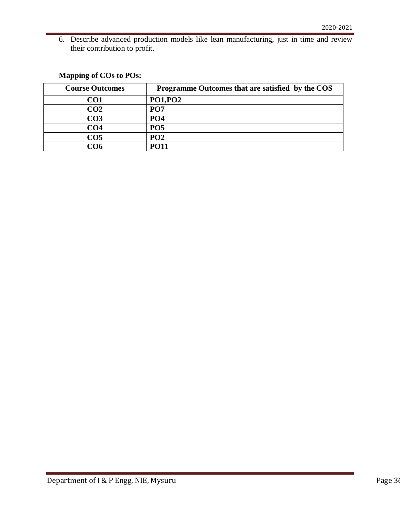6. Describe advanced production models like lean manufacturing, just in time and review their contribution to profit.

| <b>Course Outcomes</b> | Programme Outcomes that are satisfied by the COS |
|------------------------|--------------------------------------------------|
| CO <sub>1</sub>        | <b>PO1, PO2</b>                                  |
| CO <sub>2</sub>        | PO <sub>7</sub>                                  |
| CO <sub>3</sub>        | PO <sub>4</sub>                                  |
| CO <sub>4</sub>        | PO <sub>5</sub>                                  |
| CO <sub>5</sub>        | PO <sub>2</sub>                                  |
| CO6                    | <b>PO11</b>                                      |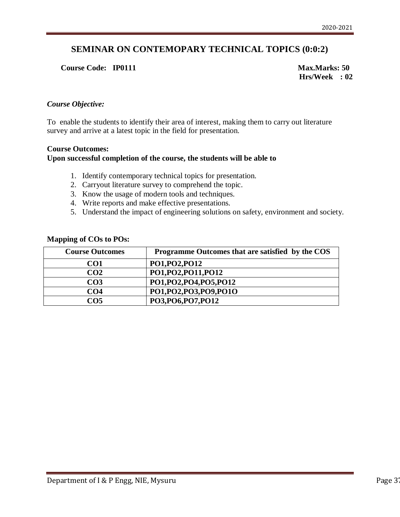# **SEMINAR ON CONTEMOPARY TECHNICAL TOPICS (0:0:2)**

# **Course Code: IP0111 Max.Marks: 50**

 **Hrs/Week : 02** 

# *Course Objective:*

To enable the students to identify their area of interest, making them to carry out literature survey and arrive at a latest topic in the field for presentation.

### **Course Outcomes:**

### **Upon successful completion of the course, the students will be able to**

- 1. Identify contemporary technical topics for presentation.
- 2. Carryout literature survey to comprehend the topic.
- 3. Know the usage of modern tools and techniques.
- 4. Write reports and make effective presentations.
- 5. Understand the impact of engineering solutions on safety, environment and society.

| <b>Course Outcomes</b> | Programme Outcomes that are satisfied by the COS |
|------------------------|--------------------------------------------------|
| CO <sub>1</sub>        | PO1, PO2, PO12                                   |
| CO <sub>2</sub>        | PO1, PO2, PO11, PO12                             |
| CO <sub>3</sub>        | PO1, PO2, PO4, PO5, PO12                         |
| CO <sub>4</sub>        | PO1, PO2, PO3, PO9, PO10                         |
| CO <sub>5</sub>        | PO3,PO6,PO7,PO12                                 |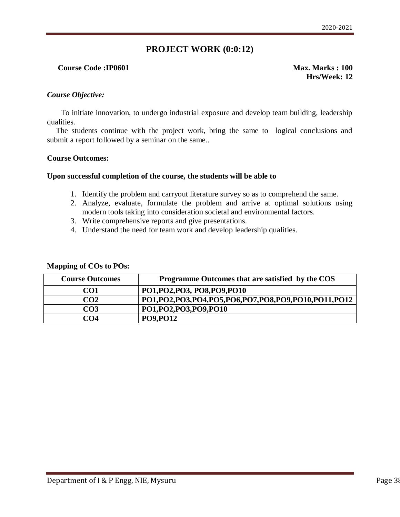# **PROJECT WORK (0:0:12)**

# **Course Code :IP0601 Max. Marks : 100**

**Hrs/Week: 12**

# *Course Objective:*

To initiate innovation, to undergo industrial exposure and develop team building, leadership qualities.

The students continue with the project work, bring the same to logical conclusions and submit a report followed by a seminar on the same..

### **Course Outcomes:**

#### **Upon successful completion of the course, the students will be able to**

- 1. Identify the problem and carryout literature survey so as to comprehend the same.
- 2. Analyze, evaluate, formulate the problem and arrive at optimal solutions using modern tools taking into consideration societal and environmental factors.
- 3. Write comprehensive reports and give presentations.
- 4. Understand the need for team work and develop leadership qualities.

| <b>Course Outcomes</b> | Programme Outcomes that are satisfied by the COS   |
|------------------------|----------------------------------------------------|
| CO <sub>1</sub>        | PO1, PO2, PO3, PO8, PO9, PO10                      |
| CO <sub>2</sub>        | PO1,PO2,PO3,PO4,PO5,PO6,PO7,PO8,PO9,PO10,PO11,PO12 |
| CO <sub>3</sub>        | PO1,PO2,PO3,PO9,PO10                               |
| CO4                    | <b>PO9, PO12</b>                                   |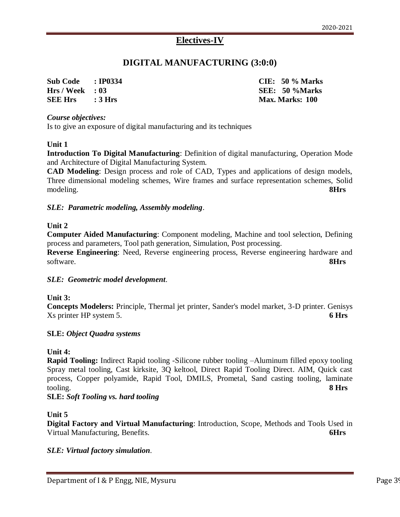# **Electives-IV**

# **DIGITAL MANUFACTURING (3:0:0)**

**Sub Code : IP0334 CIE: 50 % Marks Hrs / Week : 03 SEE: 50 %Marks SEE Hrs :** 3 Hrs **Max. Marks:** 100

#### *Course objectives:*

Is to give an exposure of digital manufacturing and its techniques

### **Unit 1**

**Introduction To Digital Manufacturing**: Definition of digital manufacturing, Operation Mode and Architecture of Digital Manufacturing System.

**CAD Modeling**: Design process and role of CAD, Types and applications of design models, Three dimensional modeling schemes, Wire frames and surface representation schemes, Solid modeling. **8Hrs**

### *SLE: Parametric modeling, Assembly modeling*.

### **Unit 2**

**Computer Aided Manufacturing**: Component modeling, Machine and tool selection, Defining process and parameters, Tool path generation, Simulation, Post processing.

**Reverse Engineering**: Need, Reverse engineering process, Reverse engineering hardware and software. **8Hrs**

### *SLE: Geometric model development*.

### **Unit 3:**

**Concepts Modelers:** Principle, Thermal jet printer, Sander's model market, 3-D printer. Genisys Xs printer HP system 5. **6 Hrs**

### **SLE:** *Object Quadra systems*

**Unit 4:**

**Rapid Tooling:** Indirect Rapid tooling -Silicone rubber tooling –Aluminum filled epoxy tooling Spray metal tooling, Cast kirksite, 3Q keltool, Direct Rapid Tooling Direct. AIM, Quick cast process, Copper polyamide, Rapid Tool, DMILS, Prometal, Sand casting tooling, laminate tooling. **8 Hrs**

**SLE:** *Soft Tooling vs. hard tooling*

### **Unit 5**

**Digital Factory and Virtual Manufacturing**: Introduction, Scope, Methods and Tools Used in Virtual Manufacturing, Benefits. **6Hrs**

### *SLE: Virtual factory simulation*.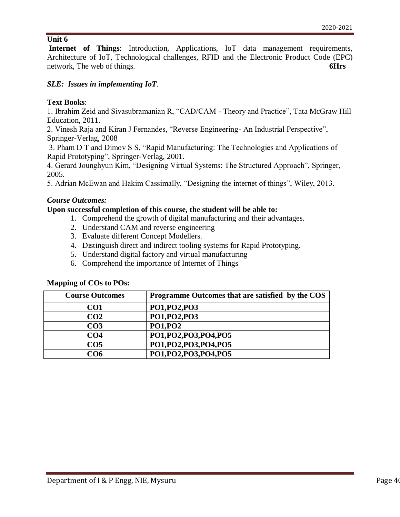**Internet of Things**: Introduction, Applications, IoT data management requirements, Architecture of IoT, Technological challenges, RFID and the Electronic Product Code (EPC) network, The web of things. **6Hrs**

# *SLE: Issues in implementing IoT*.

# **Text Books**:

1. Ibrahim Zeid and Sivasubramanian R, "CAD/CAM - Theory and Practice", Tata McGraw Hill Education, 2011.

2. Vinesh Raja and Kiran J Fernandes, "Reverse Engineering- An Industrial Perspective", Springer-Verlag, 2008

3. Pham D T and Dimov S S, "Rapid Manufacturing: The Technologies and Applications of Rapid Prototyping", Springer-Verlag, 2001.

4. Gerard Jounghyun Kim, "Designing Virtual Systems: The Structured Approach", Springer, 2005.

5. Adrian McEwan and Hakim Cassimally, "Designing the internet of things", Wiley, 2013.

# *Course Outcomes:*

# **Upon successful completion of this course, the student will be able to:**

- 1. Comprehend the growth of digital manufacturing and their advantages.
- 2. Understand CAM and reverse engineering
- 3. Evaluate different Concept Modellers.
- 4. Distinguish direct and indirect tooling systems for Rapid Prototyping.
- 5. Understand digital factory and virtual manufacturing
- 6. Comprehend the importance of Internet of Things

| <b>Course Outcomes</b> | Programme Outcomes that are satisfied by the COS |
|------------------------|--------------------------------------------------|
| CO <sub>1</sub>        | PO1, PO2, PO3                                    |
| CO <sub>2</sub>        | PO1, PO2, PO3                                    |
| CO <sub>3</sub>        | <b>PO1, PO2</b>                                  |
| CO <sub>4</sub>        | PO1, PO2, PO3, PO4, PO5                          |
| CO <sub>5</sub>        | PO1, PO2, PO3, PO4, PO5                          |
| CO6                    | PO1,PO2,PO3,PO4,PO5                              |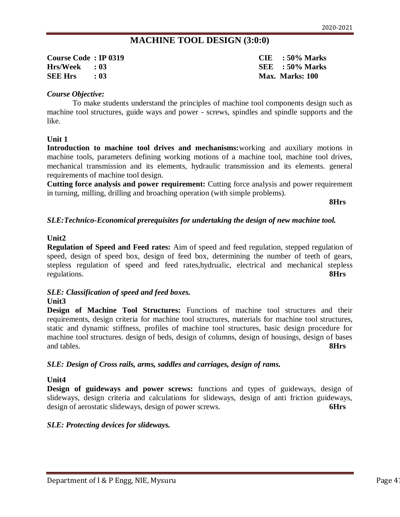# **MACHINE TOOL DESIGN (3:0:0)**

| Course Code: IP 0319 |  | $CIE$ : 50% Marks  |
|----------------------|--|--------------------|
| $Hrs/Week$ : 03      |  | $SEE = 50\%$ Marks |
| $SEE Hrs$ : 03       |  | Max. Marks: 100    |

#### *Course Objective:*

To make students understand the principles of machine tool components design such as machine tool structures, guide ways and power - screws, spindles and spindle supports and the like.

#### **Unit 1**

**Introduction to machine tool drives and mechanisms:**working and auxiliary motions in machine tools, parameters defining working motions of a machine tool, machine tool drives, mechanical transmission and its elements, hydraulic transmission and its elements. general requirements of machine tool design.

**Cutting force analysis and power requirement:** Cutting force analysis and power requirement in turning, milling, drilling and broaching operation (with simple problems).

**8Hrs**

#### *SLE:Technico-Economical prerequisites for undertaking the design of new machine tool.*

#### **Unit2**

**Regulation of Speed and Feed rates:** Aim of speed and feed regulation, stepped regulation of speed, design of speed box, design of feed box, determining the number of teeth of gears, stepless regulation of speed and feed rates,hydrualic, electrical and mechanical stepless regulations. **8Hrs**

# *SLE: Classification of speed and feed boxes.*

### **Unit3**

**Design of Machine Tool Structures:** Functions of machine tool structures and their requirements, design criteria for machine tool structures, materials for machine tool structures, static and dynamic stiffness, profiles of machine tool structures, basic design procedure for machine tool structures. design of beds, design of columns, design of housings, design of bases and tables. **8Hrs**

### *SLE: Design of Cross rails, arms, saddles and carriages, design of rams.*

#### **Unit4**

**Design of guideways and power screws:** functions and types of guideways, design of slideways, design criteria and calculations for slideways, design of anti friction guideways, design of aerostatic slideways, design of power screws. **6Hrs**

### *SLE: Protecting devices for slideways.*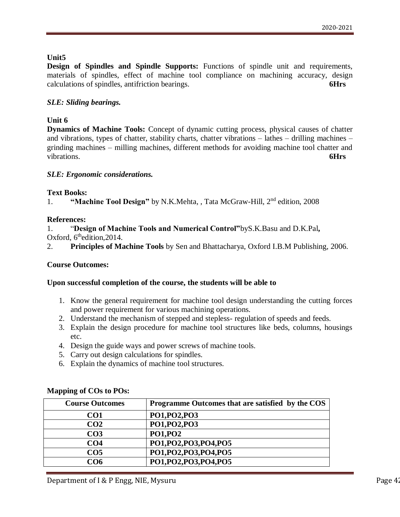**Design of Spindles and Spindle Supports:** Functions of spindle unit and requirements, materials of spindles, effect of machine tool compliance on machining accuracy, design calculations of spindles, antifriction bearings. **6Hrs**

# *SLE: Sliding bearings.*

# **Unit 6**

**Dynamics of Machine Tools:** Concept of dynamic cutting process, physical causes of chatter and vibrations, types of chatter, stability charts, chatter vibrations – lathes – drilling machines – grinding machines – milling machines, different methods for avoiding machine tool chatter and vibrations. **6Hrs**

# *SLE: Ergonomic considerations.*

# **Text Books:**

1. **"Machine Tool Design"** by N.K.Mehta, , Tata McGraw-Hill, 2nd edition, 2008

# **References:**

1. "**Design of Machine Tools and Numerical Control"**byS.K.Basu and D.K.Pal**,**  Oxford, 6<sup>th</sup>edition, 2014.

2. **Principles of Machine Tools** by Sen and Bhattacharya, Oxford I.B.M Publishing, 2006.

# **Course Outcomes:**

# **Upon successful completion of the course, the students will be able to**

- 1. Know the general requirement for machine tool design understanding the cutting forces and power requirement for various machining operations.
- 2. Understand the mechanism of stepped and stepless- regulation of speeds and feeds.
- 3. Explain the design procedure for machine tool structures like beds, columns, housings etc.
- 4. Design the guide ways and power screws of machine tools.
- 5. Carry out design calculations for spindles.
- 6. Explain the dynamics of machine tool structures.

| <b>Course Outcomes</b> | Programme Outcomes that are satisfied by the COS |
|------------------------|--------------------------------------------------|
| CO <sub>1</sub>        | PO1, PO2, PO3                                    |
| CO <sub>2</sub>        | PO1, PO2, PO3                                    |
| CO <sub>3</sub>        | <b>PO1, PO2</b>                                  |
| CO <sub>4</sub>        | PO1, PO2, PO3, PO4, PO5                          |
| CO <sub>5</sub>        | PO1, PO2, PO3, PO4, PO5                          |
| CO6                    | PO1,PO2,PO3,PO4,PO5                              |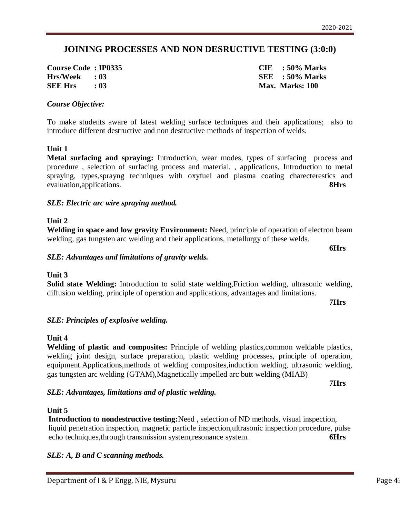# **JOINING PROCESSES AND NON DESRUCTIVE TESTING (3:0:0)**

**Course Code : IP0335 CIE : 50% Marks Hrs/Week : 03 SEE : 50% Marks SEE Hrs : 03 Max. Marks: 100**

*Course Objective:*

To make students aware of latest welding surface techniques and their applications; also to introduce different destructive and non destructive methods of inspection of welds.

# **Unit 1**

**Metal surfacing and spraying:** Introduction, wear modes, types of surfacing process and procedure , selection of surfacing process and material, , applications, Introduction to metal spraying, types,sprayng techniques with oxyfuel and plasma coating charecterestics and evaluation,applications. **8Hrs**

# *SLE: Electric arc wire spraying method.*

# **Unit 2**

**Welding in space and low gravity Environment:** Need, principle of operation of electron beam welding, gas tungsten arc welding and their applications, metallurgy of these welds.

### *SLE: Advantages and limitations of gravity welds.*

### **Unit 3**

Solid state Welding: Introduction to solid state welding, Friction welding, ultrasonic welding, diffusion welding, principle of operation and applications, advantages and limitations.

**7Hrs**

### *SLE: Principles of explosive welding.*

### **Unit 4**

**Welding of plastic and composites:** Principle of welding plastics,common weldable plastics, welding joint design, surface preparation, plastic welding processes, principle of operation, equipment.Applications,methods of welding composites,induction welding, ultrasonic welding, gas tungsten arc welding (GTAM),Magnetically impelled arc butt welding (MIAB)

**7Hrs** 

### *SLE: Advantages, limitations and of plastic welding.*

### **Unit 5**

**Introduction to nondestructive testing:**Need , selection of ND methods, visual inspection, liquid penetration inspection, magnetic particle inspection,ultrasonic inspection procedure, pulse echo techniques,through transmission system,resonance system. **6Hrs**

### *SLE: A, B and C scanning methods.*

**6Hrs**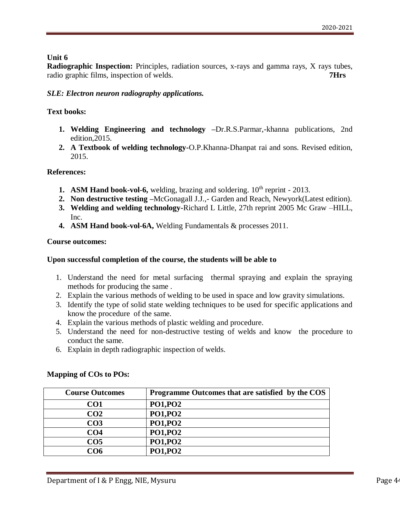**Radiographic Inspection:** Principles, radiation sources, x-rays and gamma rays, X rays tubes, radio graphic films, inspection of welds. **7Hrs**

# *SLE: Electron neuron radiography applications.*

# **Text books:**

- **1. Welding Engineering and technology –**Dr.R.S.Parmar,-khanna publications, 2nd edition,2015.
- **2. A Textbook of welding technology-**O.P.Khanna-Dhanpat rai and sons. Revised edition, 2015.

# **References:**

- **1. ASM Hand book-vol-6,** welding, brazing and soldering. 10<sup>th</sup> reprint 2013.
- **2. Non destructive testing –**McGonagall J.J.,- Garden and Reach, Newyork(Latest edition).
- **3. Welding and welding technology-**Richard L Little, 27th reprint 2005 Mc Graw –HILL, Inc.
- **4. ASM Hand book-vol-6A,** Welding Fundamentals & processes 2011.

# **Course outcomes:**

# **Upon successful completion of the course, the students will be able to**

- 1. Understand the need for metal surfacing thermal spraying and explain the spraying methods for producing the same .
- 2. Explain the various methods of welding to be used in space and low gravity simulations.
- 3. Identify the type of solid state welding techniques to be used for specific applications and know the procedure of the same.
- 4. Explain the various methods of plastic welding and procedure.
- 5. Understand the need for non-destructive testing of welds and know the procedure to conduct the same.
- 6. Explain in depth radiographic inspection of welds.

| <b>Course Outcomes</b> | Programme Outcomes that are satisfied by the COS |
|------------------------|--------------------------------------------------|
| CO <sub>1</sub>        | <b>PO1, PO2</b>                                  |
| CO <sub>2</sub>        | <b>PO1, PO2</b>                                  |
| CO <sub>3</sub>        | <b>PO1, PO2</b>                                  |
| CO <sub>4</sub>        | <b>PO1, PO2</b>                                  |
| CO <sub>5</sub>        | <b>PO1, PO2</b>                                  |
| CO6                    | <b>PO1, PO2</b>                                  |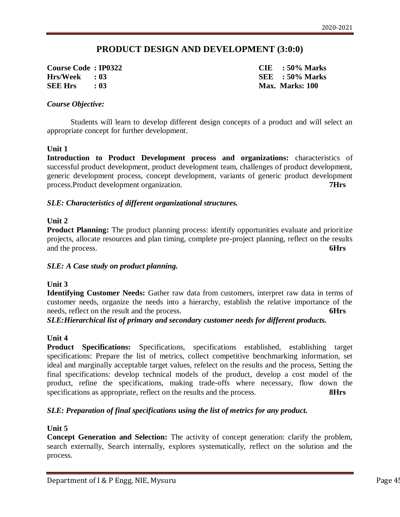# **PRODUCT DESIGN AND DEVELOPMENT (3:0:0)**

**Course Code : IP0322 CIE : 50% Marks Hrs/Week : 03 SEE : 50% Marks SEE Hrs : 03 Max. Marks: 100**

# *Course Objective:*

Students will learn to develop different design concepts of a product and will select an appropriate concept for further development.

# **Unit 1**

**Introduction to Product Development process and organizations:** characteristics of successful product development, product development team, challenges of product development, generic development process, concept development, variants of generic product development process.Product development organization. **7Hrs**

# *SLE: Characteristics of different organizational structures.*

# **Unit 2**

**Product Planning:** The product planning process: identify opportunities evaluate and prioritize projects, allocate resources and plan timing, complete pre-project planning, reflect on the results and the process. **6Hrs**

### *SLE: A Case study on product planning.*

### **Unit 3**

**Identifying Customer Needs:** Gather raw data from customers, interpret raw data in terms of customer needs, organize the needs into a hierarchy, establish the relative importance of the needs, reflect on the result and the process. **6Hrs** 

*SLE:Hierarchical list of primary and secondary customer needs for different products.*

# **Unit 4**

**Product Specifications:** Specifications, specifications established, establishing target specifications: Prepare the list of metrics, collect competitive benchmarking information, set ideal and marginally acceptable target values, refelect on the results and the process, Setting the final specifications: develop technical models of the product, develop a cost model of the product, refine the specifications, making trade-offs where necessary, flow down the specifications as appropriate, reflect on the results and the process. **8Hrs** 

# *SLE: Preparation of final specifications using the list of metrics for any product.*

# **Unit 5**

**Concept Generation and Selection:** The activity of concept generation: clarify the problem, search externally, Search internally, explores systematically, reflect on the solution and the process.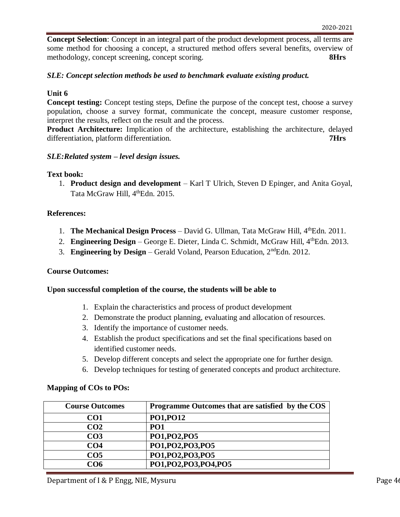**Concept Selection**: Concept in an integral part of the product development process, all terms are some method for choosing a concept, a structured method offers several benefits, overview of methodology, concept screening, concept scoring. **8Hrs**

# *SLE: Concept selection methods be used to benchmark evaluate existing product.*

# **Unit 6**

**Concept testing:** Concept testing steps, Define the purpose of the concept test, choose a survey population, choose a survey format, communicate the concept, measure customer response, interpret the results, reflect on the result and the process.

**Product Architecture:** Implication of the architecture, establishing the architecture, delayed differentiation, platform differentiation. **7Hrs** 

# *SLE:Related system – level design issues.*

### **Text book:**

1. **Product design and development** – Karl T Ulrich, Steven D Epinger, and Anita Goyal, Tata McGraw Hill, 4<sup>th</sup>Edn. 2015.

### **References:**

- 1. **The Mechanical Design Process** David G. Ullman, Tata McGraw Hill, 4thEdn. 2011.
- 2. **Engineering Design** George E. Dieter, Linda C. Schmidt, McGraw Hill, 4<sup>th</sup>Edn. 2013.
- 3. **Engineering by Design** Gerald Voland, Pearson Education, 2ndEdn. 2012.

### **Course Outcomes:**

# **Upon successful completion of the course, the students will be able to**

- 1. Explain the characteristics and process of product development
- 2. Demonstrate the product planning, evaluating and allocation of resources.
- 3. Identify the importance of customer needs.
- 4. Establish the product specifications and set the final specifications based on identified customer needs.
- 5. Develop different concepts and select the appropriate one for further design.
- 6. Develop techniques for testing of generated concepts and product architecture.

| <b>Course Outcomes</b> | Programme Outcomes that are satisfied by the COS |
|------------------------|--------------------------------------------------|
| CO <sub>1</sub>        | <b>PO1, PO12</b>                                 |
| CO <sub>2</sub>        | PO <sub>1</sub>                                  |
| CO <sub>3</sub>        | PO1, PO2, PO5                                    |
| CO <sub>4</sub>        | PO1, PO2, PO3, PO5                               |
| CO <sub>5</sub>        | PO1, PO2, PO3, PO5                               |
| CO <sub>6</sub>        | PO1,PO2,PO3,PO4,PO5                              |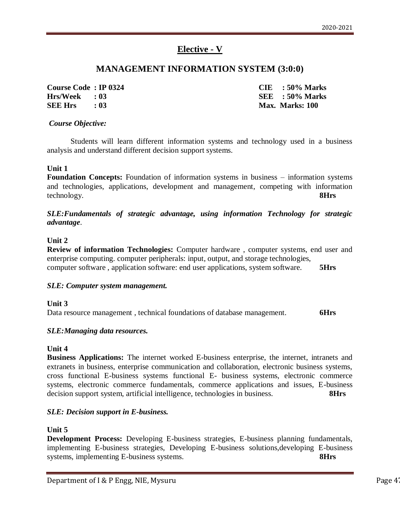# **Elective - V**

# **MANAGEMENT INFORMATION SYSTEM (3:0:0)**

**Course Code : IP 0324 CIE : 50% Marks Hrs/Week : 03 SEE : 50% Marks SEE Hrs : 03 Max. Marks: 100**

### *Course Objective:*

Students will learn different information systems and technology used in a business analysis and understand different decision support systems.

#### **Unit 1**

**Foundation Concepts:** Foundation of information systems in business – information systems and technologies, applications, development and management, competing with information technology. **8Hrs**

*SLE:Fundamentals of strategic advantage, using information Technology for strategic advantage*.

#### **Unit 2**

**Review of information Technologies:** Computer hardware , computer systems, end user and enterprise computing. computer peripherals: input, output, and storage technologies, computer software , application software: end user applications, system software. **5Hrs**

#### *SLE: Computer system management.*

### **Unit 3**

Data resource management, technical foundations of database management. 6Hrs

### *SLE:Managing data resources.*

#### **Unit 4**

**Business Applications:** The internet worked E-business enterprise, the internet, intranets and extranets in business, enterprise communication and collaboration, electronic business systems, cross functional E-business systems functional E- business systems, electronic commerce systems, electronic commerce fundamentals, commerce applications and issues, E-business decision support system, artificial intelligence, technologies in business. **8Hrs**

### *SLE: Decision support in E-business.*

### **Unit 5**

**Development Process:** Developing E-business strategies, E-business planning fundamentals, implementing E-business strategies, Developing E-business solutions,developing E-business systems, implementing E-business systems. **8Hrs**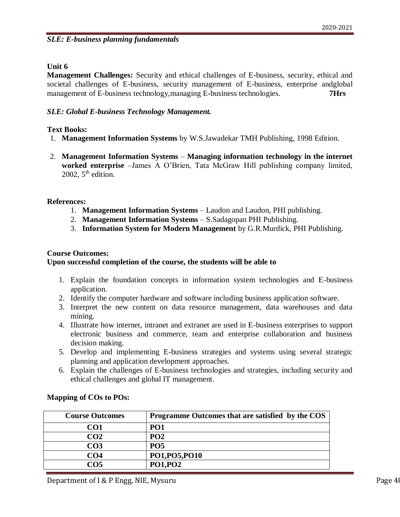# *SLE: E-business planning fundamentals*

# **Unit 6**

**Management Challenges:** Security and ethical challenges of E-business, security, ethical and societal challenges of E-business, security management of E-business, enterprise andglobal management of E-business technology,managing E-business technologies. **7Hrs** 

# *SLE: Global E-business Technology Management.*

# **Text Books:**

- 1. **Management Information Systems** by W.S.Jawadekar TMH Publishing, 1998 Edition.
- 2. **Management Information Systems Managing information technology in the internet worked enterprise** –James A O'Brien, Tata McGraw Hill publishing company limited, 2002,  $5<sup>th</sup>$  edition.

# **References:**

- 1. **Management Information Systems** Laudon and Laudon, PHI publishing.
- 2. **Management Information Systems** S.Sadagopan PHI Publishing.
- 3. **Information System for Modern Management** by G.R.Murdick, PHI Publishing.

# **Course Outcomes:**

# **Upon successful completion of the course, the students will be able to**

- 1. Explain the foundation concepts in information system technologies and E-business application.
- 2. Identify the computer hardware and software including business application software.
- 3. Interpret the new content on data resource management, data warehouses and data mining.
- 4. Illustrate how internet, intranet and extranet are used in E-business enterprises to support electronic business and commerce, team and enterprise collaboration and business decision making.
- 5. Develop and implementing E-business strategies and systems using several strategic planning and application development approaches.
- 6. Explain the challenges of E-business technologies and strategies, including security and ethical challenges and global IT management.

| <b>Course Outcomes</b> | Programme Outcomes that are satisfied by the COS |
|------------------------|--------------------------------------------------|
| CO1                    | PO1                                              |
| CO <sub>2</sub>        | PO2                                              |
| CO <sub>3</sub>        | PO <sub>5</sub>                                  |
| CO4                    | PO1, PO5, PO10                                   |
| CO <sub>5</sub>        | <b>PO1, PO2</b>                                  |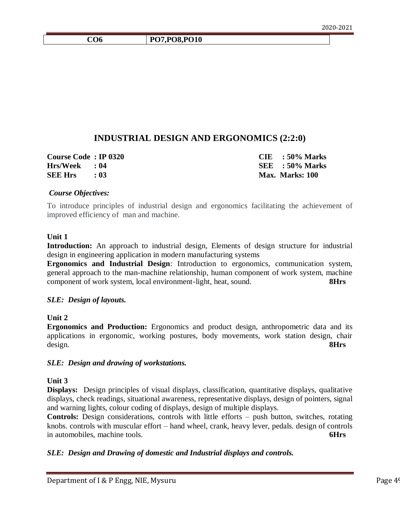#### **CO6 PO7,PO8,PO10**

# **INDUSTRIAL DESIGN AND ERGONOMICS (2:2:0)**

| Course Code: IP 0320 |  | $CIE$ : 50% Marks |
|----------------------|--|-------------------|
| $Hrs/Week$ : 04      |  | $SEE$ : 50% Marks |
| $SEE Hrs$ : 03       |  | Max. Marks: 100   |

#### *Course Objectives:*

To introduce principles of industrial design and ergonomics facilitating the achievement of improved efficiency of man and machine.

# **Unit 1**

**Introduction:** An approach to industrial design, Elements of design structure for industrial design in engineering application in modern manufacturing systems

**Ergonomics and Industrial Design**: Introduction to ergonomics, communication system, general approach to the man-machine relationship, human component of work system, machine component of work system, local environment-light, heat, sound. **8Hrs**

### *SLE: Design of layouts.*

### **Unit 2**

**Ergonomics and Production:** Ergonomics and product design, anthropometric data and its applications in ergonomic, working postures, body movements, work station design, chair design. **8Hrs**

### *SLE: Design and drawing of workstations.*

### **Unit 3**

**Displays:** Design principles of visual displays, classification, quantitative displays, qualitative displays, check readings, situational awareness, representative displays, design of pointers, signal and warning lights, colour coding of displays, design of multiple displays.

**Controls:** Design considerations, controls with little efforts – push button, switches, rotating knobs. controls with muscular effort – hand wheel, crank, heavy lever, pedals. design of controls in automobiles, machine tools. **6Hrs**

### *SLE: Design and Drawing of domestic and Industrial displays and controls.*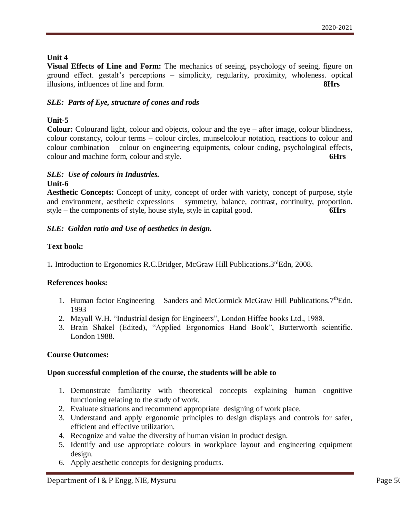**Visual Effects of Line and Form:** The mechanics of seeing, psychology of seeing, figure on ground effect. gestalt's perceptions – simplicity, regularity, proximity, wholeness. optical illusions, influences of line and form. **8Hrs**

# *SLE: Parts of Eye, structure of cones and rods*

# **Unit-5**

**Colour:** Colourand light, colour and objects, colour and the eye – after image, colour blindness, colour constancy, colour terms – colour circles, munselcolour notation, reactions to colour and colour combination – colour on engineering equipments, colour coding, psychological effects, colour and machine form, colour and style. **6Hrs**

#### *SLE: Use of colours in Industries.* **Unit-6**

**Aesthetic Concepts:** Concept of unity, concept of order with variety, concept of purpose, style and environment, aesthetic expressions – symmetry, balance, contrast, continuity, proportion. style – the components of style, house style, style in capital good. **6Hrs**

# *SLE: Golden ratio and Use of aesthetics in design.*

# **Text book:**

1. Introduction to Ergonomics R.C.Bridger, McGraw Hill Publications.3<sup>rd</sup>Edn, 2008.

# **References books:**

- 1. Human factor Engineering Sanders and McCormick McGraw Hill Publications.  $7<sup>th</sup>$ Edn. 1993
- 2. Mayall W.H. "Industrial design for Engineers", London Hiffee books Ltd., 1988.
- 3. Brain Shakel (Edited), "Applied Ergonomics Hand Book", Butterworth scientific. London 1988.

# **Course Outcomes:**

# **Upon successful completion of the course, the students will be able to**

- 1. Demonstrate familiarity with theoretical concepts explaining human cognitive functioning relating to the study of work.
- 2. Evaluate situations and recommend appropriate designing of work place.
- 3. Understand and apply ergonomic principles to design displays and controls for safer, efficient and effective utilization.
- 4. Recognize and value the diversity of human vision in product design.
- 5. Identify and use appropriate colours in workplace layout and engineering equipment design.
- 6. Apply aesthetic concepts for designing products.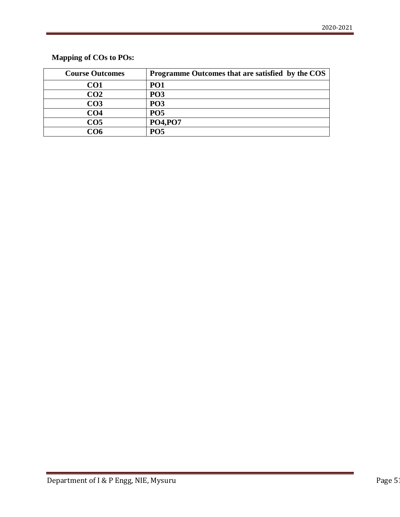| <b>Course Outcomes</b> | Programme Outcomes that are satisfied by the COS |
|------------------------|--------------------------------------------------|
| CO1                    | PO <sub>1</sub>                                  |
| CO <sub>2</sub>        | PO <sub>3</sub>                                  |
| CO <sub>3</sub>        | <b>PO3</b>                                       |
| CO <sub>4</sub>        | PO <sub>5</sub>                                  |
| CO <sub>5</sub>        | <b>PO4,PO7</b>                                   |
| ∩ദ                     | PO <sub>5</sub>                                  |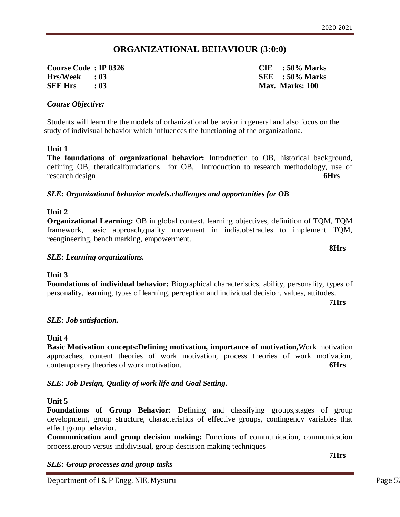# **ORGANIZATIONAL BEHAVIOUR (3:0:0)**

**Course Code : IP 0326 CIE : 50% Marks Hrs/Week : 03 SEE : 50% Marks SEE Hrs : 03 Max. Marks: 100**

# *Course Objective:*

Students will learn the the models of orhanizational behavior in general and also focus on the study of indivisual behavior which influences the functioning of the organizationa.

# **Unit 1**

**The foundations of organizational behavior:** Introduction to OB, historical background, defining OB, theraticalfoundations for OB, Introduction to research methodology, use of research design **6Hrs**

# *SLE: Organizational behavior models.challenges and opportunities for OB*

# **Unit 2**

**Organizational Learning:** OB in global context, learning objectives, definition of TQM, TQM framework, basic approach,quality movement in india,obstracles to implement TQM, reengineering, bench marking, empowerment.

**8Hrs**

# *SLE: Learning organizations.*

### **Unit 3**

**Foundations of individual behavior:** Biographical characteristics, ability, personality, types of personality, learning, types of learning, perception and individual decision, values, attitudes.

**7Hrs**

### *SLE: Job satisfaction.*

### **Unit 4**

**Basic Motivation concepts:Defining motivation, importance of motivation,**Work motivation approaches, content theories of work motivation, process theories of work motivation, contemporary theories of work motivation. **6Hrs**

### *SLE: Job Design, Quality of work life and Goal Setting.*

### **Unit 5**

**Foundations of Group Behavior:** Defining and classifying groups,stages of group development, group structure, characteristics of effective groups, contingency variables that effect group behavior.

**Communication and group decision making:** Functions of communication, communication process.group versus indidivisual, group descision making techniques

**7Hrs**

### *SLE: Group processes and group tasks*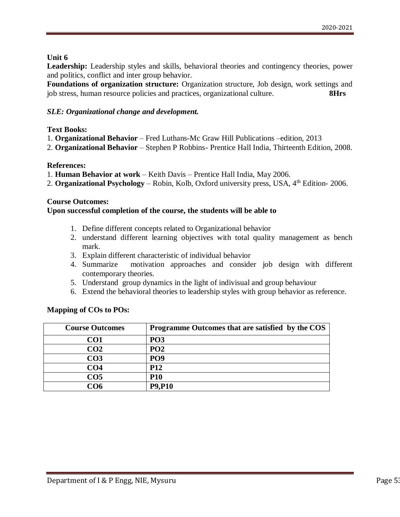**Leadership:** Leadership styles and skills, behavioral theories and contingency theories, power and politics, conflict and inter group behavior.

**Foundations of organization structure:** Organization structure, Job design, work settings and job stress, human resource policies and practices, organizational culture. **8Hrs**

# *SLE: Organizational change and development.*

# **Text Books:**

- 1. **Organizational Behavior** Fred Luthans-Mc Graw Hill Publications –edition, 2013
- 2. **Organizational Behavior** Stephen P Robbins- Prentice Hall India, Thirteenth Edition, 2008.

# **References:**

- 1. **Human Behavior at work** Keith Davis Prentice Hall India, May 2006.
- 2. **Organizational Psychology** Robin, Kolb, Oxford university press, USA, 4<sup>th</sup> Edition- 2006.

# **Course Outcomes:**

# **Upon successful completion of the course, the students will be able to**

- 1. Define different concepts related to Organizational behavior
- 2. understand different learning objectives with total quality management as bench mark.
- 3. Explain different characteristic of individual behavior
- 4. Summarize motivation approaches and consider job design with different contemporary theories.
- 5. Understand group dynamics in the light of indivisual and group behaviour
- 6. Extend the behavioral theories to leadership styles with group behavior as reference.

| <b>Course Outcomes</b> | Programme Outcomes that are satisfied by the COS |
|------------------------|--------------------------------------------------|
| CO <sub>1</sub>        | PO <sub>3</sub>                                  |
| CO <sub>2</sub>        | PO <sub>2</sub>                                  |
| CO <sub>3</sub>        | <b>PO9</b>                                       |
| CO <sub>4</sub>        | <b>P12</b>                                       |
| CO <sub>5</sub>        | <b>P10</b>                                       |
| CO6                    | <b>P9,P10</b>                                    |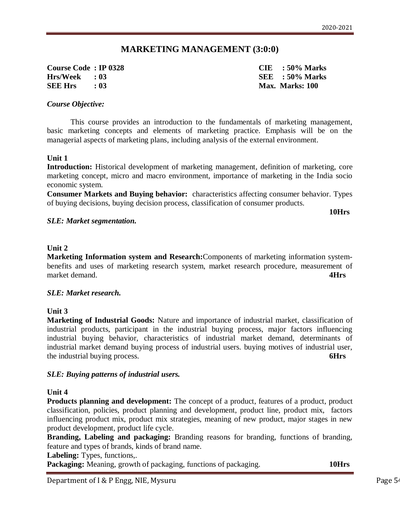# **MARKETING MANAGEMENT (3:0:0)**

**Course Code : IP 0328 CIE : 50% Marks Hrs/Week : 03 SEE : 50% Marks SEE Hrs : 03 Max. Marks: 100**

# *Course Objective:*

This course provides an introduction to the fundamentals of marketing management, basic marketing concepts and elements of marketing practice. Emphasis will be on the managerial aspects of marketing plans, including analysis of the external environment.

### **Unit 1**

**Introduction:** Historical development of marketing management, definition of marketing, core marketing concept, micro and macro environment, importance of marketing in the India socio economic system.

**Consumer Markets and Buying behavior:** characteristics affecting consumer behavior. Types of buying decisions, buying decision process, classification of consumer products.

**10Hrs**

#### *SLE: Market segmentation.*

### **Unit 2**

**Marketing Information system and Research:**Components of marketing information systembenefits and uses of marketing research system, market research procedure, measurement of market demand. **4Hrs**

### *SLE: Market research.*

#### **Unit 3**

**Marketing of Industrial Goods:** Nature and importance of industrial market, classification of industrial products, participant in the industrial buying process, major factors influencing industrial buying behavior, characteristics of industrial market demand, determinants of industrial market demand buying process of industrial users. buying motives of industrial user, the industrial buying process. **6Hrs**

### *SLE: Buying patterns of industrial users.*

#### **Unit 4**

**Products planning and development:** The concept of a product, features of a product, product classification, policies, product planning and development, product line, product mix, factors influencing product mix, product mix strategies, meaning of new product, major stages in new product development, product life cycle.

**Branding, Labeling and packaging:** Branding reasons for branding, functions of branding, feature and types of brands, kinds of brand name.

**Labeling:** Types, functions,.

**Packaging:** Meaning, growth of packaging, functions of packaging. **10Hrs**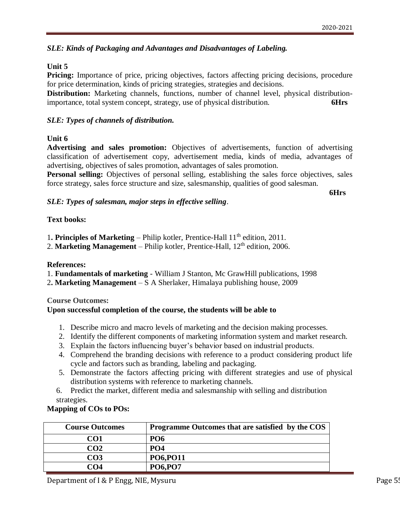# *SLE: Kinds of Packaging and Advantages and Disadvantages of Labeling.*

# **Unit 5**

**Pricing:** Importance of price, pricing objectives, factors affecting pricing decisions, procedure for price determination, kinds of pricing strategies, strategies and decisions.

**Distribution:** Marketing channels, functions, number of channel level, physical distributionimportance, total system concept, strategy, use of physical distribution. **6Hrs**

# *SLE: Types of channels of distribution.*

# **Unit 6**

**Advertising and sales promotion:** Objectives of advertisements, function of advertising classification of advertisement copy, advertisement media, kinds of media, advantages of advertising, objectives of sales promotion, advantages of sales promotion.

**Personal selling:** Objectives of personal selling, establishing the sales force objectives, sales force strategy, sales force structure and size, salesmanship, qualities of good salesman.

# **6Hrs**

# **Text books:**

1. Principles of Marketing – Philip kotler, Prentice-Hall 11<sup>th</sup> edition, 2011.

*SLE: Types of salesman, major steps in effective selling*.

2. **Marketing Management** – Philip kotler, Prentice-Hall, 12<sup>th</sup> edition, 2006.

# **References:**

1. **Fundamentals of marketing** - William J Stanton, Mc GrawHill publications, 1998

2**. Marketing Management** – S A Sherlaker, Himalaya publishing house, 2009

# **Course Outcomes:**

# **Upon successful completion of the course, the students will be able to**

- 1. Describe micro and macro levels of marketing and the decision making processes.
- 2. Identify the different components of marketing information system and market research.
- 3. Explain the factors influencing buyer's behavior based on industrial products.
- 4. Comprehend the branding decisions with reference to a product considering product life cycle and factors such as branding, labeling and packaging.
- 5. Demonstrate the factors affecting pricing with different strategies and use of physical distribution systems with reference to marketing channels.
- 6. Predict the market, different media and salesmanship with selling and distribution strategies.

| <b>Course Outcomes</b> | Programme Outcomes that are satisfied by the COS |
|------------------------|--------------------------------------------------|
| CO1                    | PO <sub>6</sub>                                  |
| CO2                    | PO <sub>4</sub>                                  |
| CO <sub>3</sub>        | <b>PO6,PO11</b>                                  |
| CO4                    | <b>PO6,PO7</b>                                   |